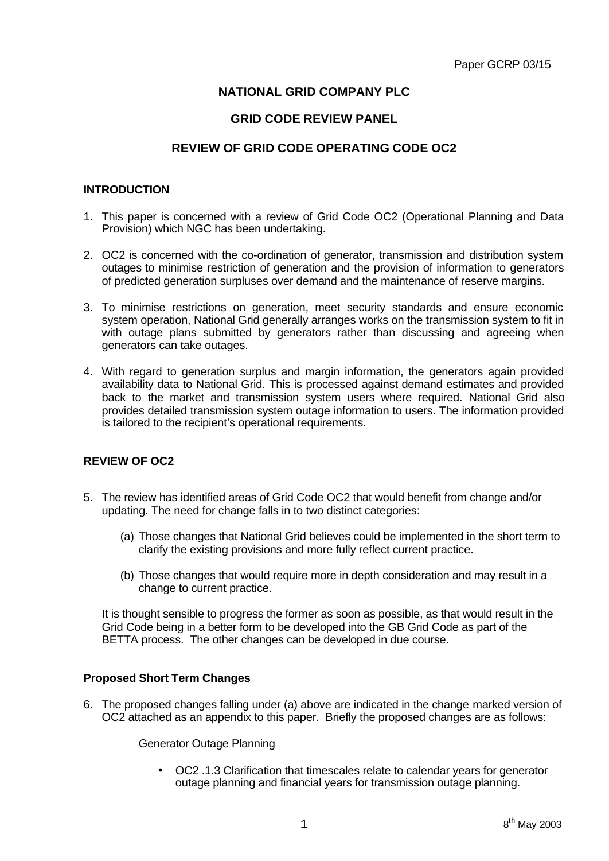# **NATIONAL GRID COMPANY PLC**

# **GRID CODE REVIEW PANEL**

# **REVIEW OF GRID CODE OPERATING CODE OC2**

## **INTRODUCTION**

- 1. This paper is concerned with a review of Grid Code OC2 (Operational Planning and Data Provision) which NGC has been undertaking.
- 2. OC2 is concerned with the co-ordination of generator, transmission and distribution system outages to minimise restriction of generation and the provision of information to generators of predicted generation surpluses over demand and the maintenance of reserve margins.
- 3. To minimise restrictions on generation, meet security standards and ensure economic system operation, National Grid generally arranges works on the transmission system to fit in with outage plans submitted by generators rather than discussing and agreeing when generators can take outages.
- 4. With regard to generation surplus and margin information, the generators again provided availability data to National Grid. This is processed against demand estimates and provided back to the market and transmission system users where required. National Grid also provides detailed transmission system outage information to users. The information provided is tailored to the recipient's operational requirements.

# **REVIEW OF OC2**

- 5. The review has identified areas of Grid Code OC2 that would benefit from change and/or updating. The need for change falls in to two distinct categories:
	- (a) Those changes that National Grid believes could be implemented in the short term to clarify the existing provisions and more fully reflect current practice.
	- (b) Those changes that would require more in depth consideration and may result in a change to current practice.

It is thought sensible to progress the former as soon as possible, as that would result in the Grid Code being in a better form to be developed into the GB Grid Code as part of the BETTA process. The other changes can be developed in due course.

# **Proposed Short Term Changes**

6. The proposed changes falling under (a) above are indicated in the change marked version of OC2 attached as an appendix to this paper. Briefly the proposed changes are as follows:

Generator Outage Planning

• OC2 .1.3 Clarification that timescales relate to calendar years for generator outage planning and financial years for transmission outage planning.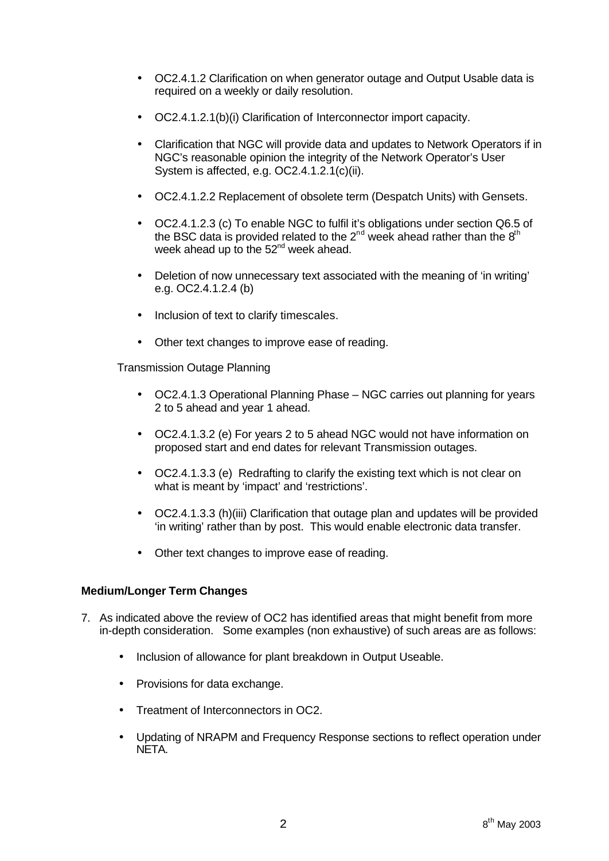- OC2.4.1.2 Clarification on when generator outage and Output Usable data is required on a weekly or daily resolution.
- OC2.4.1.2.1(b)(i) Clarification of Interconnector import capacity.
- Clarification that NGC will provide data and updates to Network Operators if in NGC's reasonable opinion the integrity of the Network Operator's User System is affected, e.g. OC2.4.1.2.1(c)(ii).
- OC2.4.1.2.2 Replacement of obsolete term (Despatch Units) with Gensets.
- OC2.4.1.2.3 (c) To enable NGC to fulfil it's obligations under section Q6.5 of the BSC data is provided related to the  $2^{nd}$  week ahead rather than the  $8^{th}$ week ahead up to the  $52<sup>nd</sup>$  week ahead.
- Deletion of now unnecessary text associated with the meaning of 'in writing' e.g. OC2.4.1.2.4 (b)
- Inclusion of text to clarify timescales.
- Other text changes to improve ease of reading.

Transmission Outage Planning

- OC2.4.1.3 Operational Planning Phase NGC carries out planning for years 2 to 5 ahead and year 1 ahead.
- OC2.4.1.3.2 (e) For years 2 to 5 ahead NGC would not have information on proposed start and end dates for relevant Transmission outages.
- OC2.4.1.3.3 (e) Redrafting to clarify the existing text which is not clear on what is meant by 'impact' and 'restrictions'.
- OC2.4.1.3.3 (h)(iii) Clarification that outage plan and updates will be provided 'in writing' rather than by post. This would enable electronic data transfer.
- Other text changes to improve ease of reading.

# **Medium/Longer Term Changes**

- 7. As indicated above the review of OC2 has identified areas that might benefit from more in-depth consideration. Some examples (non exhaustive) of such areas are as follows:
	- Inclusion of allowance for plant breakdown in Output Useable.
	- Provisions for data exchange.
	- Treatment of Interconnectors in OC2.
	- Updating of NRAPM and Frequency Response sections to reflect operation under NETA.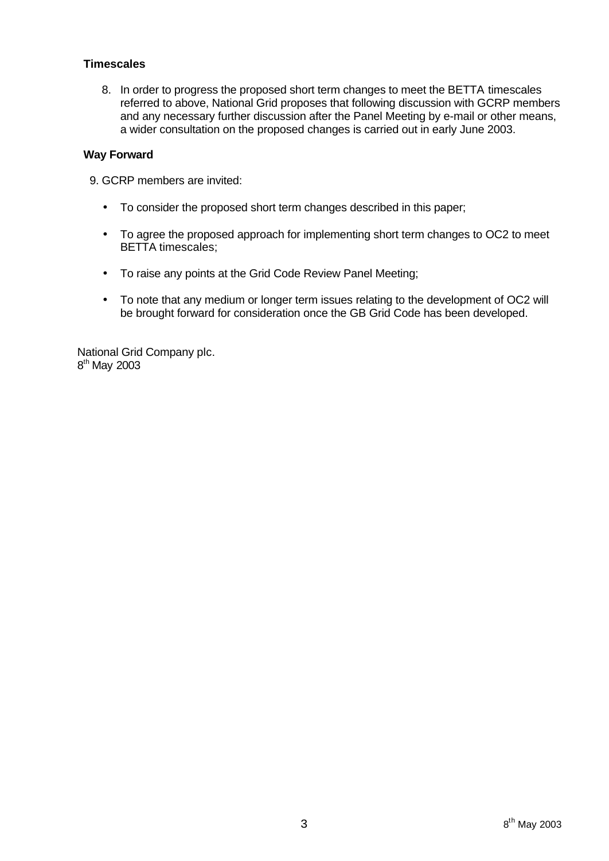# **Timescales**

8. In order to progress the proposed short term changes to meet the BETTA timescales referred to above, National Grid proposes that following discussion with GCRP members and any necessary further discussion after the Panel Meeting by e-mail or other means, a wider consultation on the proposed changes is carried out in early June 2003.

# **Way Forward**

9. GCRP members are invited:

- To consider the proposed short term changes described in this paper;
- To agree the proposed approach for implementing short term changes to OC2 to meet BETTA timescales;
- To raise any points at the Grid Code Review Panel Meeting;
- To note that any medium or longer term issues relating to the development of OC2 will be brought forward for consideration once the GB Grid Code has been developed.

National Grid Company plc. 8<sup>th</sup> May 2003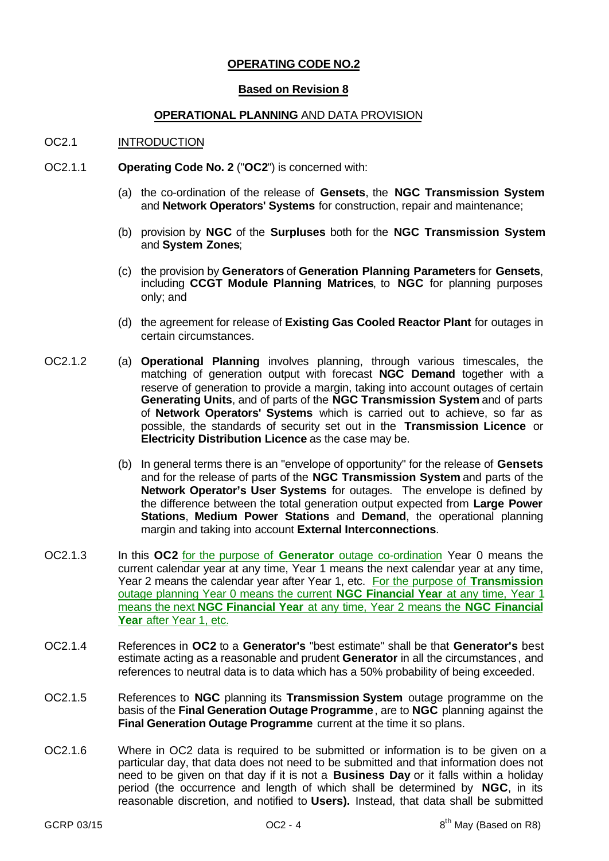# **OPERATING CODE NO.2**

### **Based on Revision 8**

## **OPERATIONAL PLANNING** AND DATA PROVISION

### OC2.1 INTRODUCTION

- OC2.1.1 **Operating Code No. 2** ("**OC2**") is concerned with:
	- (a) the co-ordination of the release of **Gensets**, the **NGC Transmission System** and **Network Operators' Systems** for construction, repair and maintenance;
	- (b) provision by **NGC** of the **Surpluses** both for the **NGC Transmission System** and **System Zones**;
	- (c) the provision by **Generators** of **Generation Planning Parameters** for **Gensets**, including **CCGT Module Planning Matrices**, to **NGC** for planning purposes only; and
	- (d) the agreement for release of **Existing Gas Cooled Reactor Plant** for outages in certain circumstances.
- OC2.1.2 (a) **Operational Planning** involves planning, through various timescales, the matching of generation output with forecast **NGC Demand** together with a reserve of generation to provide a margin, taking into account outages of certain **Generating Units**, and of parts of the **NGC Transmission System** and of parts of **Network Operators' Systems** which is carried out to achieve, so far as possible, the standards of security set out in the **Transmission Licence** or **Electricity Distribution Licence** as the case may be.
	- (b) In general terms there is an "envelope of opportunity" for the release of **Gensets** and for the release of parts of the **NGC Transmission System** and parts of the **Network Operator's User Systems** for outages. The envelope is defined by the difference between the total generation output expected from **Large Power Stations**, **Medium Power Stations** and **Demand**, the operational planning margin and taking into account **External Interconnections**.
- OC2.1.3 In this **OC2** for the purpose of **Generator** outage co-ordination Year 0 means the current calendar year at any time, Year 1 means the next calendar year at any time, Year 2 means the calendar year after Year 1, etc. For the purpose of **Transmission** outage planning Year 0 means the current **NGC Financial Year** at any time, Year 1 means the next **NGC Financial Year** at any time, Year 2 means the **NGC Financial** Year after Year 1, etc.
- OC2.1.4 References in **OC2** to a **Generator's** "best estimate" shall be that **Generator's** best estimate acting as a reasonable and prudent **Generator** in all the circumstances, and references to neutral data is to data which has a 50% probability of being exceeded.
- OC2.1.5 References to **NGC** planning its **Transmission System** outage programme on the basis of the **Final Generation Outage Programme**, are to **NGC** planning against the **Final Generation Outage Programme** current at the time it so plans.
- OC2.1.6 Where in OC2 data is required to be submitted or information is to be given on a particular day, that data does not need to be submitted and that information does not need to be given on that day if it is not a **Business Day** or it falls within a holiday period (the occurrence and length of which shall be determined by **NGC**, in its reasonable discretion, and notified to **Users).** Instead, that data shall be submitted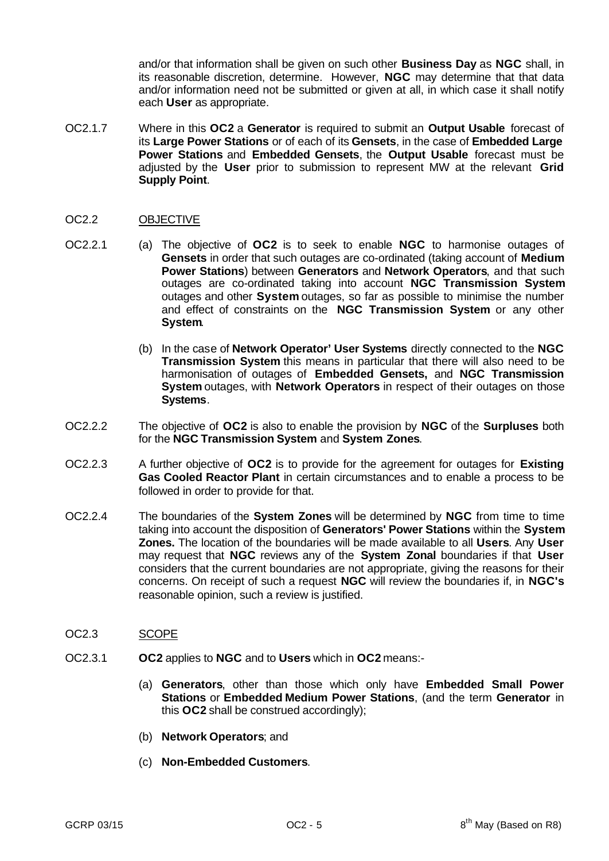and/or that information shall be given on such other **Business Day** as **NGC** shall, in its reasonable discretion, determine. However, **NGC** may determine that that data and/or information need not be submitted or given at all, in which case it shall notify each **User** as appropriate.

OC2.1.7 Where in this **OC2** a **Generator** is required to submit an **Output Usable** forecast of its **Large Power Stations** or of each of its **Gensets**, in the case of **Embedded Large Power Stations** and **Embedded Gensets**, the **Output Usable** forecast must be adjusted by the **User** prior to submission to represent MW at the relevant **Grid Supply Point**.

## OC2.2 OBJECTIVE

- OC2.2.1 (a) The objective of **OC2** is to seek to enable **NGC** to harmonise outages of **Gensets** in order that such outages are co-ordinated (taking account of **Medium Power Stations**) between **Generators** and **Network Operators**, and that such outages are co-ordinated taking into account **NGC Transmission System** outages and other **System** outages, so far as possible to minimise the number and effect of constraints on the **NGC Transmission System** or any other **System**.
	- (b) In the case of **Network Operator' User Systems** directly connected to the **NGC Transmission System** this means in particular that there will also need to be harmonisation of outages of **Embedded Gensets,** and **NGC Transmission System** outages, with **Network Operators** in respect of their outages on those **Systems**.
- OC2.2.2 The objective of **OC2** is also to enable the provision by **NGC** of the **Surpluses** both for the **NGC Transmission System** and **System Zones**.
- OC2.2.3 A further objective of **OC2** is to provide for the agreement for outages for **Existing Gas Cooled Reactor Plant** in certain circumstances and to enable a process to be followed in order to provide for that.
- OC2.2.4 The boundaries of the **System Zones** will be determined by **NGC** from time to time taking into account the disposition of **Generators' Power Stations** within the **System Zones.** The location of the boundaries will be made available to all **Users**. Any **User** may request that **NGC** reviews any of the **System Zonal** boundaries if that **User** considers that the current boundaries are not appropriate, giving the reasons for their concerns. On receipt of such a request **NGC** will review the boundaries if, in **NGC's** reasonable opinion, such a review is justified.

#### OC2.3 SCOPE

- OC2.3.1 **OC2** applies to **NGC** and to **Users** which in **OC2** means:-
	- (a) **Generators**, other than those which only have **Embedded Small Power Stations** or **Embedded Medium Power Stations**, (and the term **Generator** in this **OC2** shall be construed accordingly);
	- (b) **Network Operators**; and
	- (c) **Non-Embedded Customers**.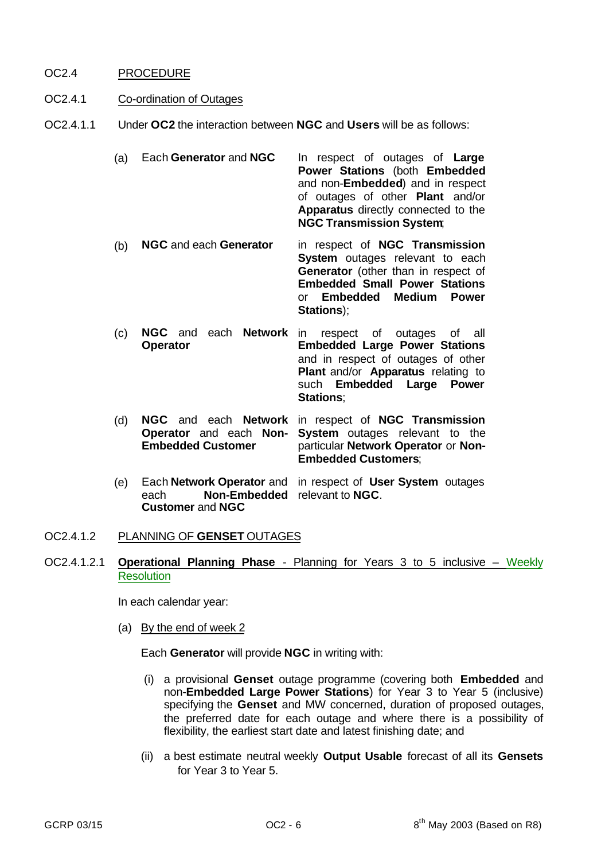# OC2.4 PROCEDURE

# OC2.4.1 Co-ordination of Outages

OC2.4.1.1 Under **OC2** the interaction between **NGC** and **Users** will be as follows:

(a) Each **Generator** and **NGC** In respect of outages of **Large Power Stations** (both **Embedded** and non-**Embedded**) and in respect of outages of other **Plant** and/or **Apparatus** directly connected to the **NGC Transmission System**;

- (b) **NGC** and each **Generator** in respect of **NGC Transmission System** outages relevant to each **Generator** (other than in respect of **Embedded Small Power Stations** or **Embedded Medium Power Stations**);
- (c) **NGC** and each **Network** in respect of outages of all **Operator Embedded Large Power Stations** and in respect of outages of other **Plant** and/or **Apparatus** relating to such **Embedded Large Power Stations**;
- (d) **NGC** and each **Network** in respect of **NGC Transmission Operator** and each **Non-Embedded Customer System** outages relevant to the particular **Network Operator** or **Non-Embedded Customers**;
- (e) Each **Network Operator** and in respect of **User System** outages each **Non-Embedded** relevant to **NGC**. **Customer** and **NGC**
- OC2.4.1.2 PLANNING OF **GENSET** OUTAGES
- OC2.4.1.2.1 **Operational Planning Phase** Planning for Years 3 to 5 inclusive Weekly **Resolution**

In each calendar year:

(a) By the end of week 2

Each **Generator** will provide **NGC** in writing with:

- (i) a provisional **Genset** outage programme (covering both **Embedded** and non-**Embedded Large Power Stations**) for Year 3 to Year 5 (inclusive) specifying the **Genset** and MW concerned, duration of proposed outages, the preferred date for each outage and where there is a possibility of flexibility, the earliest start date and latest finishing date; and
- (ii) a best estimate neutral weekly **Output Usable** forecast of all its **Gensets** for Year 3 to Year 5.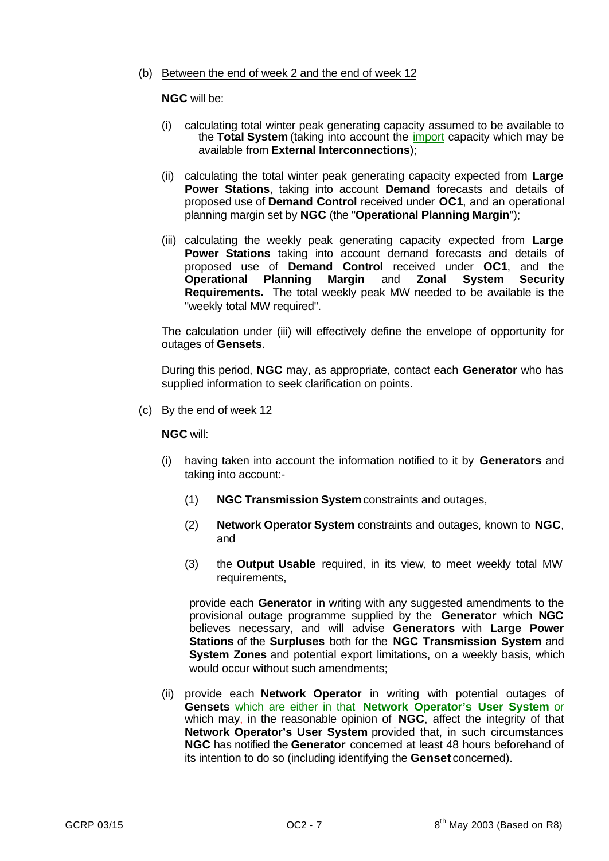### (b) Between the end of week 2 and the end of week 12

## **NGC** will be:

- (i) calculating total winter peak generating capacity assumed to be available to the **Total System** (taking into account the import capacity which may be available from **External Interconnections**);
- (ii) calculating the total winter peak generating capacity expected from **Large Power Stations**, taking into account **Demand** forecasts and details of proposed use of **Demand Control** received under **OC1**, and an operational planning margin set by **NGC** (the "**Operational Planning Margin**");
- (iii) calculating the weekly peak generating capacity expected from **Large Power Stations** taking into account demand forecasts and details of proposed use of **Demand Control** received under **OC1**, and the **Operational Planning Margin** and **Zonal System Security Requirements.** The total weekly peak MW needed to be available is the "weekly total MW required".

The calculation under (iii) will effectively define the envelope of opportunity for outages of **Gensets**.

During this period, **NGC** may, as appropriate, contact each **Generator** who has supplied information to seek clarification on points.

(c) By the end of week 12

#### **NGC** will:

- (i) having taken into account the information notified to it by **Generators** and taking into account:-
	- (1) **NGC Transmission System** constraints and outages,
	- (2) **Network Operator System** constraints and outages, known to **NGC**, and
	- (3) the **Output Usable** required, in its view, to meet weekly total MW requirements,

provide each **Generator** in writing with any suggested amendments to the provisional outage programme supplied by the **Generator** which **NGC** believes necessary, and will advise **Generators** with **Large Power Stations** of the **Surpluses** both for the **NGC Transmission System** and **System Zones** and potential export limitations, on a weekly basis, which would occur without such amendments;

(ii) provide each **Network Operator** in writing with potential outages of **Gensets** which are either in that **Network Operator's User System** or which may, in the reasonable opinion of **NGC**, affect the integrity of that **Network Operator's User System** provided that, in such circumstances **NGC** has notified the **Generator** concerned at least 48 hours beforehand of its intention to do so (including identifying the **Genset** concerned).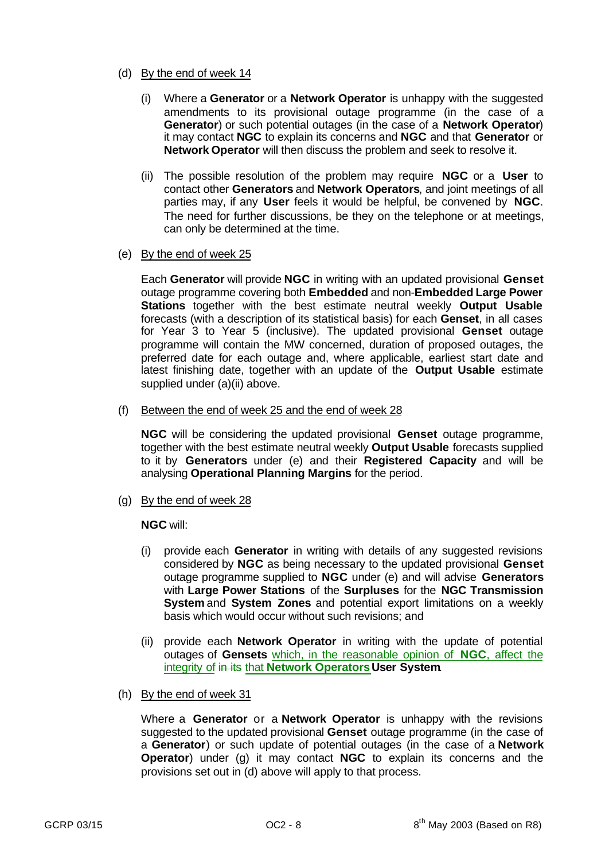## (d) By the end of week 14

- (i) Where a **Generator** or a **Network Operator** is unhappy with the suggested amendments to its provisional outage programme (in the case of a **Generator**) or such potential outages (in the case of a **Network Operator**) it may contact **NGC** to explain its concerns and **NGC** and that **Generator** or **Network Operator** will then discuss the problem and seek to resolve it.
- (ii) The possible resolution of the problem may require **NGC** or a **User** to contact other **Generators** and **Network Operators**, and joint meetings of all parties may, if any **User** feels it would be helpful, be convened by **NGC**. The need for further discussions, be they on the telephone or at meetings, can only be determined at the time.

# (e) By the end of week 25

Each **Generator** will provide **NGC** in writing with an updated provisional **Genset** outage programme covering both **Embedded** and non-**Embedded Large Power Stations** together with the best estimate neutral weekly **Output Usable** forecasts (with a description of its statistical basis) for each **Genset**, in all cases for Year 3 to Year 5 (inclusive). The updated provisional **Genset** outage programme will contain the MW concerned, duration of proposed outages, the preferred date for each outage and, where applicable, earliest start date and latest finishing date, together with an update of the **Output Usable** estimate supplied under (a)(ii) above.

(f) Between the end of week 25 and the end of week 28

**NGC** will be considering the updated provisional **Genset** outage programme, together with the best estimate neutral weekly **Output Usable** forecasts supplied to it by **Generators** under (e) and their **Registered Capacity** and will be analysing **Operational Planning Margins** for the period.

(g) By the end of week 28

# **NGC** will:

- (i) provide each **Generator** in writing with details of any suggested revisions considered by **NGC** as being necessary to the updated provisional **Genset** outage programme supplied to **NGC** under (e) and will advise **Generators** with **Large Power Stations** of the **Surpluses** for the **NGC Transmission System** and **System Zones** and potential export limitations on a weekly basis which would occur without such revisions; and
- (ii) provide each **Network Operator** in writing with the update of potential outages of **Gensets** which, in the reasonable opinion of **NGC**, affect the integrity of in its that **Network OperatorsUser System**.
- (h) By the end of week 31

Where a **Generator** or a **Network Operator** is unhappy with the revisions suggested to the updated provisional **Genset** outage programme (in the case of a **Generator**) or such update of potential outages (in the case of a **Network Operator**) under (g) it may contact **NGC** to explain its concerns and the provisions set out in (d) above will apply to that process.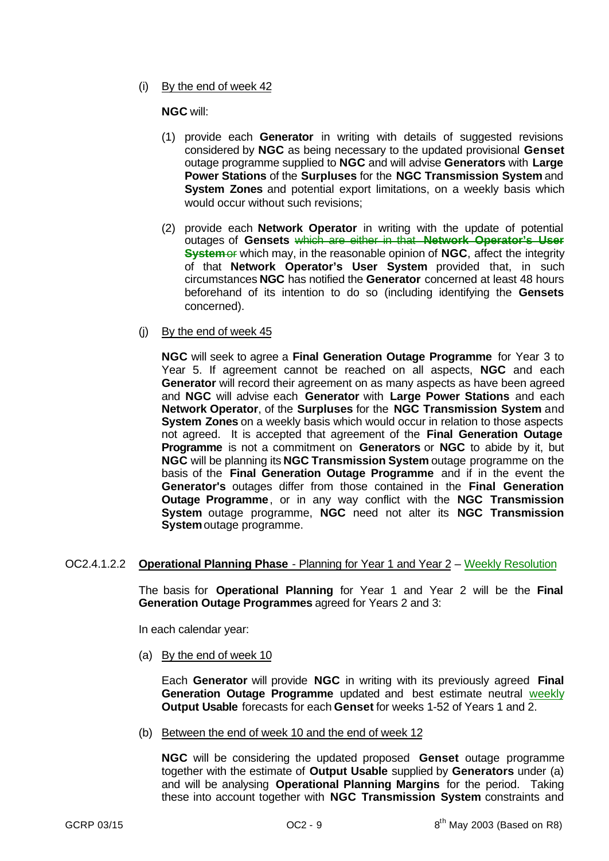(i) By the end of week 42

# **NGC** will:

- (1) provide each **Generator** in writing with details of suggested revisions considered by **NGC** as being necessary to the updated provisional **Genset** outage programme supplied to **NGC** and will advise **Generators** with **Large Power Stations** of the **Surpluses** for the **NGC Transmission System** and **System Zones** and potential export limitations, on a weekly basis which would occur without such revisions;
- (2) provide each **Network Operator** in writing with the update of potential outages of **Gensets** which are either in that **Network Operator's User System** of which may, in the reasonable opinion of **NGC**, affect the integrity of that **Network Operator's User System** provided that, in such circumstances **NGC** has notified the **Generator** concerned at least 48 hours beforehand of its intention to do so (including identifying the **Gensets** concerned).
- (j) By the end of week 45

**NGC** will seek to agree a **Final Generation Outage Programme** for Year 3 to Year 5. If agreement cannot be reached on all aspects, **NGC** and each **Generator** will record their agreement on as many aspects as have been agreed and **NGC** will advise each **Generator** with **Large Power Stations** and each **Network Operator**, of the **Surpluses** for the **NGC Transmission System** and **System Zones** on a weekly basis which would occur in relation to those aspects not agreed. It is accepted that agreement of the **Final Generation Outage Programme** is not a commitment on **Generators** or **NGC** to abide by it, but **NGC** will be planning its **NGC Transmission System** outage programme on the basis of the **Final Generation Outage Programme** and if in the event the **Generator's** outages differ from those contained in the **Final Generation Outage Programme**, or in any way conflict with the **NGC Transmission System** outage programme, **NGC** need not alter its **NGC Transmission System** outage programme.

# OC2.4.1.2.2 **Operational Planning Phase** - Planning for Year 1 and Year 2 – Weekly Resolution

The basis for **Operational Planning** for Year 1 and Year 2 will be the **Final Generation Outage Programmes** agreed for Years 2 and 3:

In each calendar year:

(a) By the end of week 10

Each **Generator** will provide **NGC** in writing with its previously agreed **Final Generation Outage Programme** updated and best estimate neutral weekly **Output Usable** forecasts for each **Genset** for weeks 1-52 of Years 1 and 2.

(b) Between the end of week 10 and the end of week 12

**NGC** will be considering the updated proposed **Genset** outage programme together with the estimate of **Output Usable** supplied by **Generators** under (a) and will be analysing **Operational Planning Margins** for the period. Taking these into account together with **NGC Transmission System** constraints and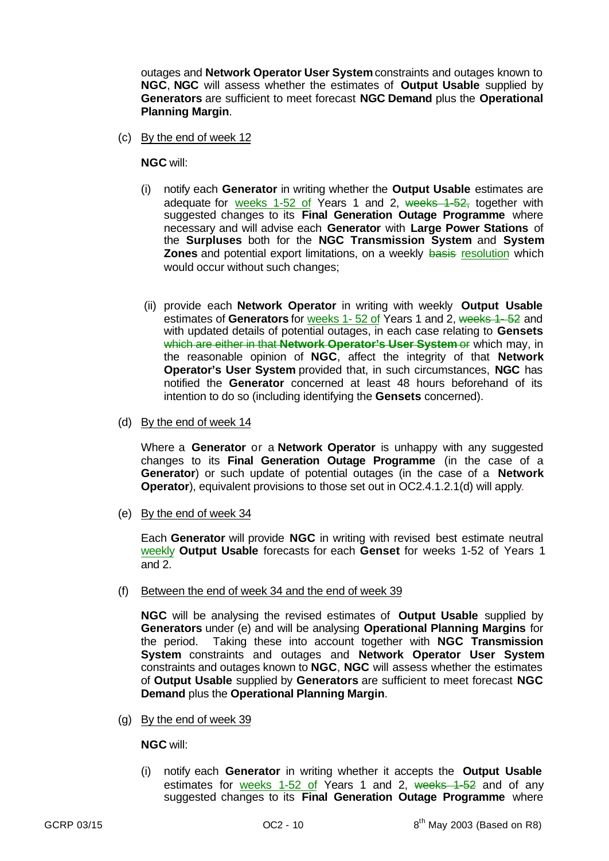outages and **Network Operator User System** constraints and outages known to **NGC**, **NGC** will assess whether the estimates of **Output Usable** supplied by **Generators** are sufficient to meet forecast **NGC Demand** plus the **Operational Planning Margin**.

(c) By the end of week 12

**NGC** will:

- (i) notify each **Generator** in writing whether the **Output Usable** estimates are adequate for weeks 1-52 of Years 1 and 2, weeks 1-52, together with suggested changes to its **Final Generation Outage Programme** where necessary and will advise each **Generator** with **Large Power Stations** of the **Surpluses** both for the **NGC Transmission System** and **System Zones** and potential export limitations, on a weekly basis resolution which would occur without such changes;
- (ii) provide each **Network Operator** in writing with weekly **Output Usable** estimates of **Generators** for weeks 1- 52 of Years 1 and 2, weeks 1- 52 and with updated details of potential outages, in each case relating to **Gensets** which are either in that **Network Operator's User System** or which may, in the reasonable opinion of **NGC**, affect the integrity of that **Network Operator's User System** provided that, in such circumstances, **NGC** has notified the **Generator** concerned at least 48 hours beforehand of its intention to do so (including identifying the **Gensets** concerned).
- (d) By the end of week 14

Where a **Generator** or a **Network Operator** is unhappy with any suggested changes to its **Final Generation Outage Programme** (in the case of a **Generator**) or such update of potential outages (in the case of a **Network Operator**), equivalent provisions to those set out in OC2.4.1.2.1(d) will apply.

(e) By the end of week 34

Each **Generator** will provide **NGC** in writing with revised best estimate neutral weekly **Output Usable** forecasts for each **Genset** for weeks 1-52 of Years 1 and 2.

(f) Between the end of week 34 and the end of week 39

**NGC** will be analysing the revised estimates of **Output Usable** supplied by **Generators** under (e) and will be analysing **Operational Planning Margins** for the period. Taking these into account together with **NGC Transmission System** constraints and outages and **Network Operator User System** constraints and outages known to **NGC**, **NGC** will assess whether the estimates of **Output Usable** supplied by **Generators** are sufficient to meet forecast **NGC Demand** plus the **Operational Planning Margin**.

(g) By the end of week 39

**NGC** will:

(i) notify each **Generator** in writing whether it accepts the **Output Usable** estimates for weeks 1-52 of Years 1 and 2, weeks 1-52 and of any suggested changes to its **Final Generation Outage Programme** where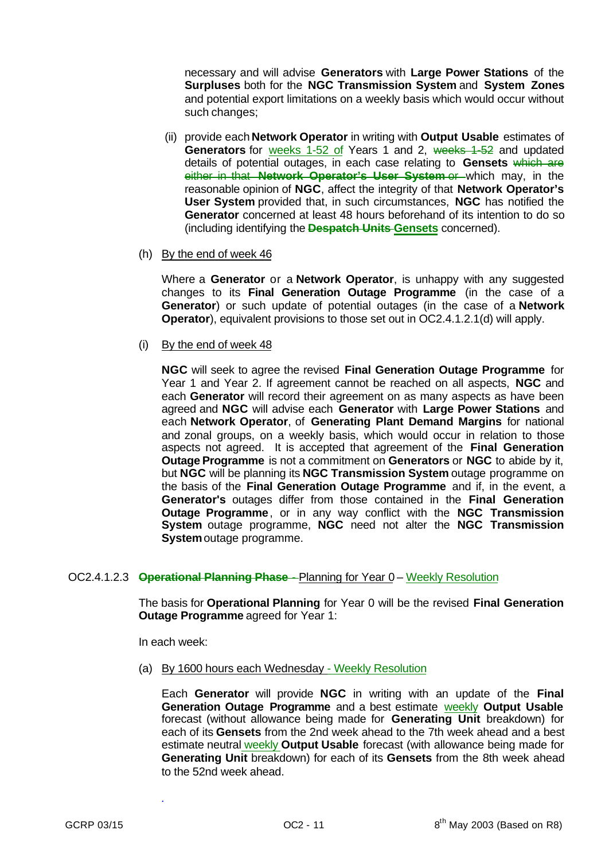necessary and will advise **Generators** with **Large Power Stations** of the **Surpluses** both for the **NGC Transmission System** and **System Zones** and potential export limitations on a weekly basis which would occur without such changes;

- (ii) provide each **Network Operator** in writing with **Output Usable** estimates of **Generators** for weeks 1-52 of Years 1 and 2, weeks 1-52 and updated details of potential outages, in each case relating to **Gensets** which are either in that **Network Operator's User System** or which may, in the reasonable opinion of **NGC**, affect the integrity of that **Network Operator's User System** provided that, in such circumstances, **NGC** has notified the **Generator** concerned at least 48 hours beforehand of its intention to do so (including identifying the **Despatch Units Gensets** concerned).
- (h) By the end of week 46

Where a **Generator** or a **Network Operator**, is unhappy with any suggested changes to its **Final Generation Outage Programme** (in the case of a **Generator**) or such update of potential outages (in the case of a **Network Operator**), equivalent provisions to those set out in OC2.4.1.2.1(d) will apply.

(i) By the end of week 48

**NGC** will seek to agree the revised **Final Generation Outage Programme** for Year 1 and Year 2. If agreement cannot be reached on all aspects, **NGC** and each **Generator** will record their agreement on as many aspects as have been agreed and **NGC** will advise each **Generator** with **Large Power Stations** and each **Network Operator**, of **Generating Plant Demand Margins** for national and zonal groups, on a weekly basis, which would occur in relation to those aspects not agreed. It is accepted that agreement of the **Final Generation Outage Programme** is not a commitment on **Generators** or **NGC** to abide by it, but **NGC** will be planning its **NGC Transmission System** outage programme on the basis of the **Final Generation Outage Programme** and if, in the event, a **Generator's** outages differ from those contained in the **Final Generation Outage Programme**, or in any way conflict with the **NGC Transmission System** outage programme, **NGC** need not alter the **NGC Transmission System** outage programme.

# OC2.4.1.2.3 **Operational Planning Phase** - Planning for Year 0 – Weekly Resolution

The basis for **Operational Planning** for Year 0 will be the revised **Final Generation Outage Programme** agreed for Year 1:

In each week:

*.*

(a) By 1600 hours each Wednesday - Weekly Resolution

Each **Generator** will provide **NGC** in writing with an update of the **Final Generation Outage Programme** and a best estimate weekly **Output Usable** forecast (without allowance being made for **Generating Unit** breakdown) for each of its **Gensets** from the 2nd week ahead to the 7th week ahead and a best estimate neutral weekly **Output Usable** forecast (with allowance being made for **Generating Unit** breakdown) for each of its **Gensets** from the 8th week ahead to the 52nd week ahead.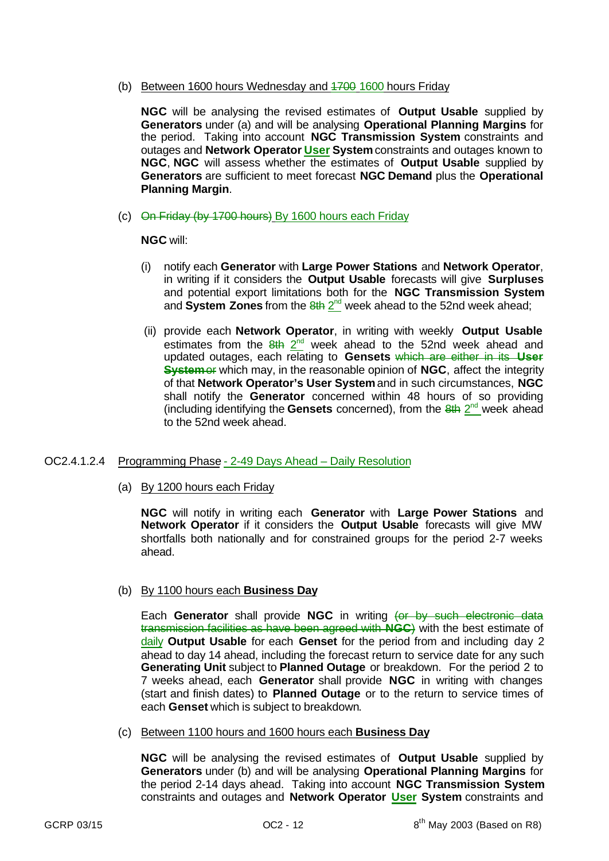(b) Between 1600 hours Wednesday and 4700 1600 hours Friday

**NGC** will be analysing the revised estimates of **Output Usable** supplied by **Generators** under (a) and will be analysing **Operational Planning Margins** for the period. Taking into account **NGC Transmission System** constraints and outages and **Network Operator User System** constraints and outages known to **NGC**, **NGC** will assess whether the estimates of **Output Usable** supplied by **Generators** are sufficient to meet forecast **NGC Demand** plus the **Operational Planning Margin**.

(c) On Friday (by 1700 hours) By 1600 hours each Friday

**NGC** will:

- (i) notify each **Generator** with **Large Power Stations** and **Network Operator**, in writing if it considers the **Output Usable** forecasts will give **Surpluses** and potential export limitations both for the **NGC Transmission System** and System Zones from the  $\frac{8th}{2^{nd}}$  week ahead to the 52nd week ahead;
- (ii) provide each **Network Operator**, in writing with weekly **Output Usable** estimates from the  $8th$   $2<sup>nd</sup>$  week ahead to the 52nd week ahead and updated outages, each relating to **Gensets** which are either in its **User System** of which may, in the reasonable opinion of **NGC**, affect the integrity of that **Network Operator's User System** and in such circumstances, **NGC** shall notify the **Generator** concerned within 48 hours of so providing (including identifying the Gensets concerned), from the 8th 2<sup>nd</sup> week ahead to the 52nd week ahead.

# OC2.4.1.2.4 Programming Phase - 2-49 Days Ahead – Daily Resolution

(a) By 1200 hours each Friday

**NGC** will notify in writing each **Generator** with **Large Power Stations** and **Network Operator** if it considers the **Output Usable** forecasts will give MW shortfalls both nationally and for constrained groups for the period 2-7 weeks ahead.

(b) By 1100 hours each **Business Day**

Each Generator shall provide NGC in writing (or by such electronic data transmission facilities as have been agreed with **NGC**) with the best estimate of daily **Output Usable** for each **Genset** for the period from and including day 2 ahead to day 14 ahead, including the forecast return to service date for any such **Generating Unit** subject to **Planned Outage** or breakdown. For the period 2 to 7 weeks ahead, each **Generator** shall provide **NGC** in writing with changes (start and finish dates) to **Planned Outage** or to the return to service times of each **Genset** which is subject to breakdown.

(c) Between 1100 hours and 1600 hours each **Business Day**

**NGC** will be analysing the revised estimates of **Output Usable** supplied by **Generators** under (b) and will be analysing **Operational Planning Margins** for the period 2-14 days ahead. Taking into account **NGC Transmission System** constraints and outages and **Network Operator User System** constraints and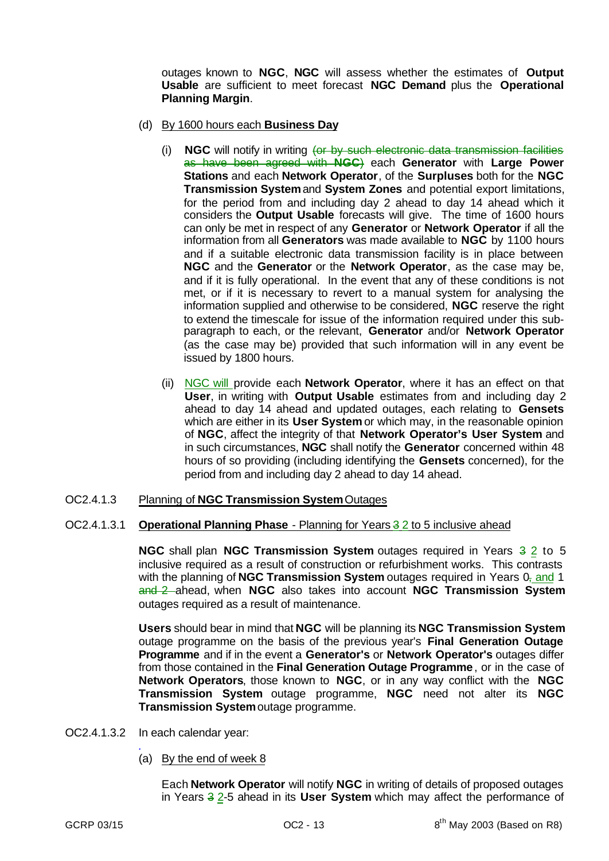outages known to **NGC**, **NGC** will assess whether the estimates of **Output Usable** are sufficient to meet forecast **NGC Demand** plus the **Operational Planning Margin**.

- (d) By 1600 hours each **Business Day**
	- (i) **NGC** will notify in writing (or by such electronic data transmission facilities as have been agreed with **NGC**) each **Generator** with **Large Power Stations** and each **Network Operator**, of the **Surpluses** both for the **NGC Transmission System** and **System Zones** and potential export limitations, for the period from and including day 2 ahead to day 14 ahead which it considers the **Output Usable** forecasts will give. The time of 1600 hours can only be met in respect of any **Generator** or **Network Operator** if all the information from all **Generators** was made available to **NGC** by 1100 hours and if a suitable electronic data transmission facility is in place between **NGC** and the **Generator** or the **Network Operator**, as the case may be, and if it is fully operational. In the event that any of these conditions is not met, or if it is necessary to revert to a manual system for analysing the information supplied and otherwise to be considered, **NGC** reserve the right to extend the timescale for issue of the information required under this subparagraph to each, or the relevant, **Generator** and/or **Network Operator** (as the case may be) provided that such information will in any event be issued by 1800 hours.
	- (ii) NGC will provide each **Network Operator**, where it has an effect on that **User**, in writing with **Output Usable** estimates from and including day 2 ahead to day 14 ahead and updated outages, each relating to **Gensets** which are either in its **User System** or which may, in the reasonable opinion of **NGC**, affect the integrity of that **Network Operator's User System** and in such circumstances, **NGC** shall notify the **Generator** concerned within 48 hours of so providing (including identifying the **Gensets** concerned), for the period from and including day 2 ahead to day 14 ahead.
- OC2.4.1.3 Planning of **NGC Transmission System** Outages

#### OC2.4.1.3.1 **Operational Planning Phase** - Planning for Years 3 2 to 5 inclusive ahead

**NGC** shall plan **NGC Transmission System** outages required in Years  $\frac{3}{2}$  to 5 inclusive required as a result of construction or refurbishment works. This contrasts with the planning of **NGC Transmission System** outages required in Years 0, and 1 and 2 ahead, when **NGC** also takes into account **NGC Transmission System** outages required as a result of maintenance.

**Users** should bear in mind that **NGC** will be planning its **NGC Transmission System** outage programme on the basis of the previous year's **Final Generation Outage Programme** and if in the event a **Generator's** or **Network Operator's** outages differ from those contained in the **Final Generation Outage Programme**, or in the case of **Network Operators**, those known to **NGC**, or in any way conflict with the **NGC Transmission System** outage programme, **NGC** need not alter its **NGC Transmission System** outage programme.

- OC2.4.1.3.2 In each calendar year:
	- *.* (a) By the end of week 8

Each **Network Operator** will notify **NGC** in writing of details of proposed outages in Years 3 2-5 ahead in its **User System** which may affect the performance of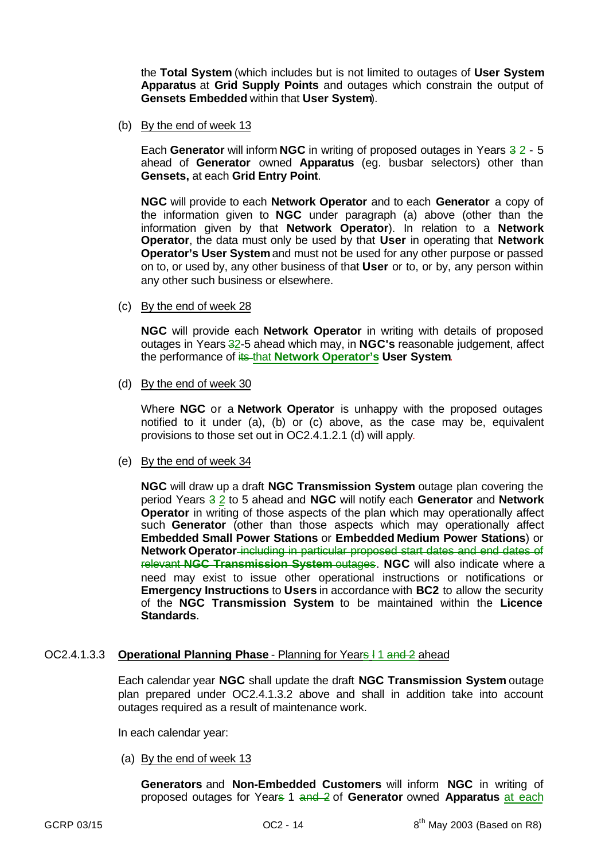the **Total System** (which includes but is not limited to outages of **User System Apparatus** at **Grid Supply Points** and outages which constrain the output of **Gensets Embedded** within that **User System**).

(b) By the end of week 13

Each Generator will inform NGC in writing of proposed outages in Years 3 2 - 5 ahead of **Generator** owned **Apparatus** (eg. busbar selectors) other than **Gensets,** at each **Grid Entry Point**.

**NGC** will provide to each **Network Operator** and to each **Generator** a copy of the information given to **NGC** under paragraph (a) above (other than the information given by that **Network Operator**). In relation to a **Network Operator**, the data must only be used by that **User** in operating that **Network Operator's User System** and must not be used for any other purpose or passed on to, or used by, any other business of that **User** or to, or by, any person within any other such business or elsewhere.

(c) By the end of week 28

**NGC** will provide each **Network Operator** in writing with details of proposed outages in Years 32-5 ahead which may, in **NGC's** reasonable judgement, affect the performance of its that **Network Operator's User System**.

(d) By the end of week 30

Where **NGC** or a **Network Operator** is unhappy with the proposed outages notified to it under (a), (b) or (c) above, as the case may be, equivalent provisions to those set out in OC2.4.1.2.1 (d) will apply.

(e) By the end of week 34

**NGC** will draw up a draft **NGC Transmission System** outage plan covering the period Years 3 2 to 5 ahead and **NGC** will notify each **Generator** and **Network Operator** in writing of those aspects of the plan which may operationally affect such **Generator** (other than those aspects which may operationally affect **Embedded Small Power Stations** or **Embedded Medium Power Stations**) or **Network Operator** including in particular proposed start dates and end dates of relevant **NGC Transmission System** outages. **NGC** will also indicate where a need may exist to issue other operational instructions or notifications or **Emergency Instructions** to **Users** in accordance with **BC2** to allow the security of the **NGC Transmission System** to be maintained within the **Licence Standards**.

#### OC2.4.1.3.3 **Operational Planning Phase** - Planning for Years l 1 and 2 ahead

Each calendar year **NGC** shall update the draft **NGC Transmission System** outage plan prepared under OC2.4.1.3.2 above and shall in addition take into account outages required as a result of maintenance work.

In each calendar year:

(a) By the end of week 13

**Generators** and **Non-Embedded Customers** will inform **NGC** in writing of proposed outages for Years 1 and 2 of **Generator** owned **Apparatus** at each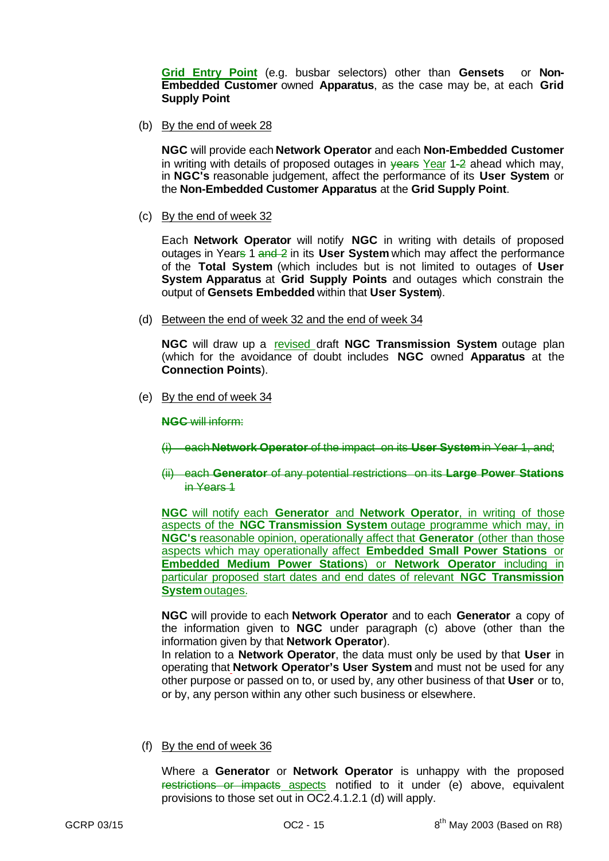**Grid Entry Point** (e.g. busbar selectors) other than **Gensets** or **Non-Embedded Customer** owned **Apparatus**, as the case may be, at each **Grid Supply Point**

(b) By the end of week 28

**NGC** will provide each **Network Operator** and each **Non-Embedded Customer** in writing with details of proposed outages in  $\frac{1}{2}$  anead which may, in **NGC's** reasonable judgement, affect the performance of its **User System** or the **Non-Embedded Customer Apparatus** at the **Grid Supply Point**.

(c) By the end of week 32

Each **Network Operator** will notify **NGC** in writing with details of proposed outages in Years 1 and 2 in its **User System** which may affect the performance of the **Total System** (which includes but is not limited to outages of **User System Apparatus** at **Grid Supply Points** and outages which constrain the output of **Gensets Embedded** within that **User System**).

(d) Between the end of week 32 and the end of week 34

**NGC** will draw up a revised draft **NGC Transmission System** outage plan (which for the avoidance of doubt includes **NGC** owned **Apparatus** at the **Connection Points**).

(e) By the end of week 34

**NGC** will inform:

(i) each **Network Operator** of the impact on its **User System** in Year 1, and;

(ii) each **Generator** of any potential restrictions on its **Large Power Stations** in Years 1

**NGC** will notify each **Generator** and **Network Operator**, in writing of those aspects of the **NGC Transmission System** outage programme which may, in **NGC's** reasonable opinion, operationally affect that **Generator** (other than those aspects which may operationally affect **Embedded Small Power Stations** or **Embedded Medium Power Stations**) or **Network Operator** including in particular proposed start dates and end dates of relevant **NGC Transmission System** outages.

**NGC** will provide to each **Network Operator** and to each **Generator** a copy of the information given to **NGC** under paragraph (c) above (other than the information given by that **Network Operator**).

In relation to a **Network Operator**, the data must only be used by that **User** in operating that **Network Operator's User System** and must not be used for any other purpose or passed on to, or used by, any other business of that **User** or to, or by, any person within any other such business or elsewhere.

(f) By the end of week 36

Where a **Generator** or **Network Operator** is unhappy with the proposed restrictions or impacts aspects notified to it under (e) above, equivalent provisions to those set out in OC2.4.1.2.1 (d) will apply.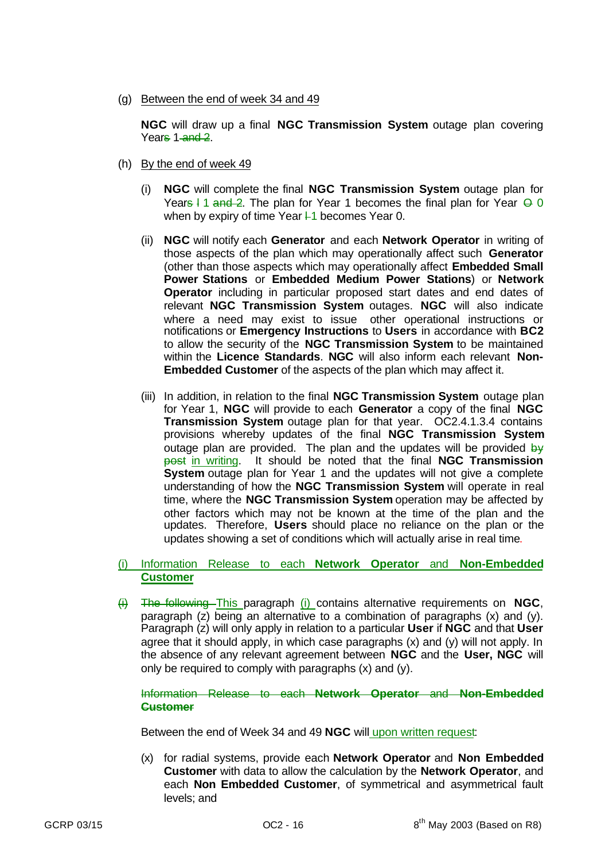(g) Between the end of week 34 and 49

**NGC** will draw up a final **NGC Transmission System** outage plan covering Years 1-and 2.

- (h) By the end of week 49
	- (i) **NGC** will complete the final **NGC Transmission System** outage plan for Years I 1 and 2. The plan for Year 1 becomes the final plan for Year  $\Theta$  0 when by expiry of time Year  $+1$  becomes Year 0.
	- (ii) **NGC** will notify each **Generator** and each **Network Operator** in writing of those aspects of the plan which may operationally affect such **Generator** (other than those aspects which may operationally affect **Embedded Small Power Stations** or **Embedded Medium Power Stations**) or **Network Operator** including in particular proposed start dates and end dates of relevant **NGC Transmission System** outages. **NGC** will also indicate where a need may exist to issue other operational instructions or notifications or **Emergency Instructions** to **Users** in accordance with **BC2** to allow the security of the **NGC Transmission System** to be maintained within the **Licence Standards**. **NGC** will also inform each relevant **Non-Embedded Customer** of the aspects of the plan which may affect it.
	- (iii) In addition, in relation to the final **NGC Transmission System** outage plan for Year 1, **NGC** will provide to each **Generator** a copy of the final **NGC Transmission System** outage plan for that year. OC2.4.1.3.4 contains provisions whereby updates of the final **NGC Transmission System** outage plan are provided. The plan and the updates will be provided  $\frac{dy}{dx}$ post in writing. It should be noted that the final **NGC Transmission System** outage plan for Year 1 and the updates will not give a complete understanding of how the **NGC Transmission System** will operate in real time, where the **NGC Transmission System** operation may be affected by other factors which may not be known at the time of the plan and the updates. Therefore, **Users** should place no reliance on the plan or the updates showing a set of conditions which will actually arise in real time.

## (i) Information Release to each **Network Operator** and **Non-Embedded Customer**

(i) The following This paragraph (i) contains alternative requirements on **NGC**, paragraph (z) being an alternative to a combination of paragraphs (x) and (y). Paragraph (z) will only apply in relation to a particular **User** if **NGC** and that **User** agree that it should apply, in which case paragraphs (x) and (y) will not apply. In the absence of any relevant agreement between **NGC** and the **User, NGC** will only be required to comply with paragraphs (x) and (y).

Information Release to each **Network Operator** and **Non-Embedded Customer**

Between the end of Week 34 and 49 **NGC** will upon written request:

(x) for radial systems, provide each **Network Operator** and **Non Embedded Customer** with data to allow the calculation by the **Network Operator**, and each **Non Embedded Customer**, of symmetrical and asymmetrical fault levels; and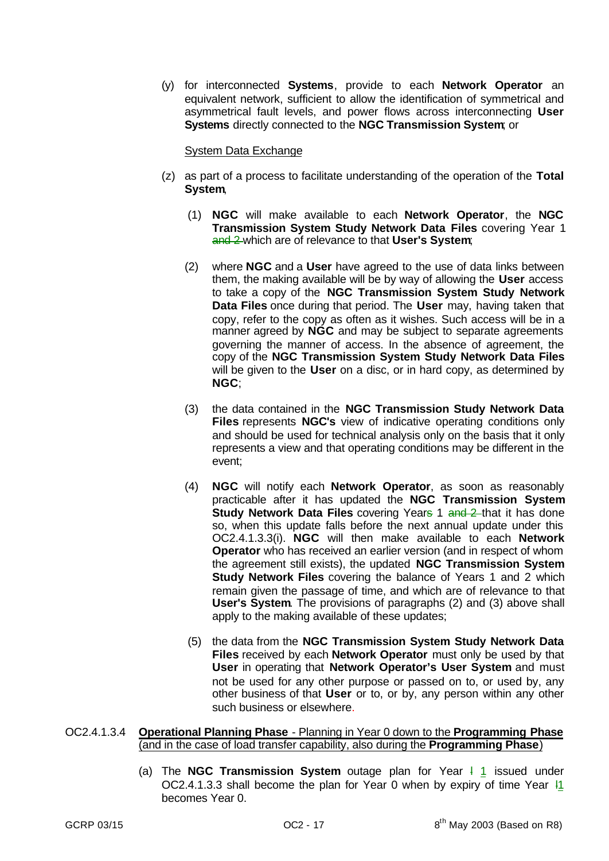(y) for interconnected **Systems**, provide to each **Network Operator** an equivalent network, sufficient to allow the identification of symmetrical and asymmetrical fault levels, and power flows across interconnecting **User Systems** directly connected to the **NGC Transmission System**; or

## System Data Exchange

- (z) as part of a process to facilitate understanding of the operation of the **Total System**,
	- (1) **NGC** will make available to each **Network Operator**, the **NGC Transmission System Study Network Data Files** covering Year 1 and 2 which are of relevance to that **User's System**;
	- (2) where **NGC** and a **User** have agreed to the use of data links between them, the making available will be by way of allowing the **User** access to take a copy of the **NGC Transmission System Study Network Data Files** once during that period. The **User** may, having taken that copy, refer to the copy as often as it wishes. Such access will be in a manner agreed by **NGC** and may be subject to separate agreements governing the manner of access. In the absence of agreement, the copy of the **NGC Transmission System Study Network Data Files** will be given to the **User** on a disc, or in hard copy, as determined by **NGC**;
	- (3) the data contained in the **NGC Transmission Study Network Data Files** represents **NGC's** view of indicative operating conditions only and should be used for technical analysis only on the basis that it only represents a view and that operating conditions may be different in the event;
	- (4) **NGC** will notify each **Network Operator**, as soon as reasonably practicable after it has updated the **NGC Transmission System Study Network Data Files** covering Years 1 and 2-that it has done so, when this update falls before the next annual update under this OC2.4.1.3.3(i). **NGC** will then make available to each **Network Operator** who has received an earlier version (and in respect of whom the agreement still exists), the updated **NGC Transmission System Study Network Files** covering the balance of Years 1 and 2 which remain given the passage of time, and which are of relevance to that **User's System**. The provisions of paragraphs (2) and (3) above shall apply to the making available of these updates;
	- (5) the data from the **NGC Transmission System Study Network Data Files** received by each **Network Operator** must only be used by that **User** in operating that **Network Operator's User System** and must not be used for any other purpose or passed on to, or used by, any other business of that **User** or to, or by, any person within any other such business or elsewhere.

## OC2.4.1.3.4 **Operational Planning Phase** - Planning in Year 0 down to the **Programming Phase** (and in the case of load transfer capability, also during the **Programming Phase**)

(a) The **NGC Transmission System** outage plan for Year  $\frac{1}{1}$  issued under OC2.4.1.3.3 shall become the plan for Year 0 when by expiry of time Year l1 becomes Year 0.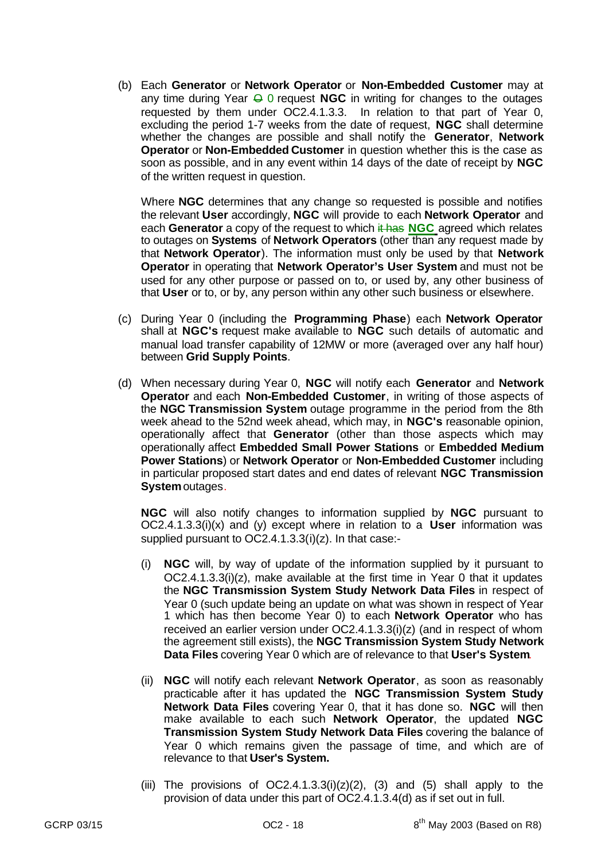(b) Each **Generator** or **Network Operator** or **Non-Embedded Customer** may at any time during Year  $\ominus$  0 request **NGC** in writing for changes to the outages requested by them under OC2.4.1.3.3. In relation to that part of Year 0, excluding the period 1-7 weeks from the date of request, **NGC** shall determine whether the changes are possible and shall notify the **Generator**, **Network Operator** or **Non-Embedded Customer** in question whether this is the case as soon as possible, and in any event within 14 days of the date of receipt by **NGC** of the written request in question.

Where **NGC** determines that any change so requested is possible and notifies the relevant **User** accordingly, **NGC** will provide to each **Network Operator** and each **Generator** a copy of the request to which it has **NGC** agreed which relates to outages on **Systems** of **Network Operators** (other than any request made by that **Network Operator**). The information must only be used by that **Network Operator** in operating that **Network Operator's User System** and must not be used for any other purpose or passed on to, or used by, any other business of that **User** or to, or by, any person within any other such business or elsewhere.

- (c) During Year 0 (including the **Programming Phase**) each **Network Operator** shall at **NGC's** request make available to **NGC** such details of automatic and manual load transfer capability of 12MW or more (averaged over any half hour) between **Grid Supply Points**.
- (d) When necessary during Year 0, **NGC** will notify each **Generator** and **Network Operator** and each **Non-Embedded Customer**, in writing of those aspects of the **NGC Transmission System** outage programme in the period from the 8th week ahead to the 52nd week ahead, which may, in **NGC's** reasonable opinion, operationally affect that **Generator** (other than those aspects which may operationally affect **Embedded Small Power Stations** or **Embedded Medium Power Stations**) or **Network Operator** or **Non-Embedded Customer** including in particular proposed start dates and end dates of relevant **NGC Transmission System** outages.

**NGC** will also notify changes to information supplied by **NGC** pursuant to OC2.4.1.3.3(i)(x) and (y) except where in relation to a **User** information was supplied pursuant to OC2.4.1.3.3(i)(z). In that case:-

- (i) **NGC** will, by way of update of the information supplied by it pursuant to OC2.4.1.3.3(i)(z), make available at the first time in Year 0 that it updates the **NGC Transmission System Study Network Data Files** in respect of Year 0 (such update being an update on what was shown in respect of Year 1 which has then become Year 0) to each **Network Operator** who has received an earlier version under OC2.4.1.3.3(i)(z) (and in respect of whom the agreement still exists), the **NGC Transmission System Study Network Data Files** covering Year 0 which are of relevance to that **User's System**.
- (ii) **NGC** will notify each relevant **Network Operator**, as soon as reasonably practicable after it has updated the **NGC Transmission System Study Network Data Files** covering Year 0, that it has done so. **NGC** will then make available to each such **Network Operator**, the updated **NGC Transmission System Study Network Data Files** covering the balance of Year 0 which remains given the passage of time, and which are of relevance to that **User's System.**
- (iii) The provisions of  $OC2.4.1.3.3(i)(z)(2)$ , (3) and (5) shall apply to the provision of data under this part of OC2.4.1.3.4(d) as if set out in full.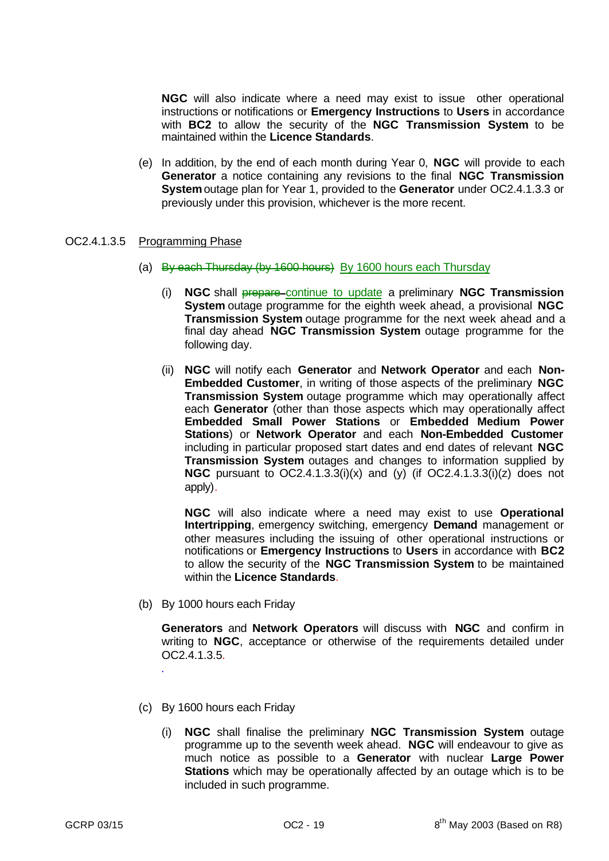**NGC** will also indicate where a need may exist to issue other operational instructions or notifications or **Emergency Instructions** to **Users** in accordance with **BC2** to allow the security of the **NGC Transmission System** to be maintained within the **Licence Standards**.

(e) In addition, by the end of each month during Year 0, **NGC** will provide to each **Generator** a notice containing any revisions to the final **NGC Transmission System** outage plan for Year 1, provided to the **Generator** under OC2.4.1.3.3 or previously under this provision, whichever is the more recent.

## OC2.4.1.3.5 Programming Phase

- (a) By each Thursday (by 1600 hours) By 1600 hours each Thursday
	- (i) **NGC** shall prepare continue to update a preliminary **NGC Transmission System** outage programme for the eighth week ahead, a provisional **NGC Transmission System** outage programme for the next week ahead and a final day ahead **NGC Transmission System** outage programme for the following day.
	- (ii) **NGC** will notify each **Generator** and **Network Operator** and each **Non-Embedded Customer**, in writing of those aspects of the preliminary **NGC Transmission System** outage programme which may operationally affect each **Generator** (other than those aspects which may operationally affect **Embedded Small Power Stations** or **Embedded Medium Power Stations**) or **Network Operator** and each **Non-Embedded Customer** including in particular proposed start dates and end dates of relevant **NGC Transmission System** outages and changes to information supplied by **NGC** pursuant to OC2.4.1.3.3(i)(x) and (y) (if OC2.4.1.3.3(i)(z) does not apply).

**NGC** will also indicate where a need may exist to use **Operational Intertripping**, emergency switching, emergency **Demand** management or other measures including the issuing of other operational instructions or notifications or **Emergency Instructions** to **Users** in accordance with **BC2** to allow the security of the **NGC Transmission System** to be maintained within the **Licence Standards**.

(b) By 1000 hours each Friday

**Generators** and **Network Operators** will discuss with **NGC** and confirm in writing to **NGC**, acceptance or otherwise of the requirements detailed under OC2.4.1.3.5.

(c) By 1600 hours each Friday

*.*

(i) **NGC** shall finalise the preliminary **NGC Transmission System** outage programme up to the seventh week ahead. **NGC** will endeavour to give as much notice as possible to a **Generator** with nuclear **Large Power Stations** which may be operationally affected by an outage which is to be included in such programme.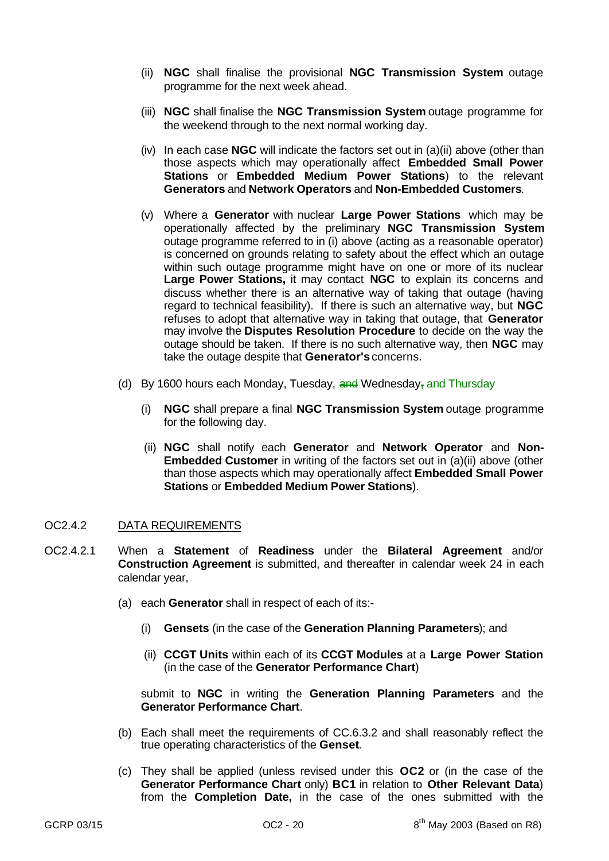- (ii) **NGC** shall finalise the provisional **NGC Transmission System** outage programme for the next week ahead.
- (iii) **NGC** shall finalise the **NGC Transmission System** outage programme for the weekend through to the next normal working day.
- (iv) In each case **NGC** will indicate the factors set out in (a)(ii) above (other than those aspects which may operationally affect **Embedded Small Power Stations** or **Embedded Medium Power Stations**) to the relevant **Generators** and **Network Operators** and **Non-Embedded Customers**.
- (v) Where a **Generator** with nuclear **Large Power Stations** which may be operationally affected by the preliminary **NGC Transmission System** outage programme referred to in (i) above (acting as a reasonable operator) is concerned on grounds relating to safety about the effect which an outage within such outage programme might have on one or more of its nuclear **Large Power Stations,** it may contact **NGC** to explain its concerns and discuss whether there is an alternative way of taking that outage (having regard to technical feasibility). If there is such an alternative way, but **NGC** refuses to adopt that alternative way in taking that outage, that **Generator** may involve the **Disputes Resolution Procedure** to decide on the way the outage should be taken. If there is no such alternative way, then **NGC** may take the outage despite that **Generator's** concerns.
- (d) By 1600 hours each Monday, Tuesday,  $\frac{1}{2}$  Wednesday, and Thursday
	- (i) **NGC** shall prepare a final **NGC Transmission System** outage programme for the following day.
	- (ii) **NGC** shall notify each **Generator** and **Network Operator** and **Non-Embedded Customer** in writing of the factors set out in (a)(ii) above (other than those aspects which may operationally affect **Embedded Small Power Stations** or **Embedded Medium Power Stations**).

#### OC2.4.2 DATA REQUIREMENTS

- OC2.4.2.1 When a **Statement** of **Readiness** under the **Bilateral Agreement** and/or **Construction Agreement** is submitted, and thereafter in calendar week 24 in each calendar year,
	- (a) each **Generator** shall in respect of each of its:-
		- (i) **Gensets** (in the case of the **Generation Planning Parameters**); and
		- (ii) **CCGT Units** within each of its **CCGT Modules** at a **Large Power Station** (in the case of the **Generator Performance Chart**)

submit to **NGC** in writing the **Generation Planning Parameters** and the **Generator Performance Chart**.

- (b) Each shall meet the requirements of CC.6.3.2 and shall reasonably reflect the true operating characteristics of the **Genset**.
- (c) They shall be applied (unless revised under this **OC2** or (in the case of the **Generator Performance Chart** only) **BC1** in relation to **Other Relevant Data**) from the **Completion Date,** in the case of the ones submitted with the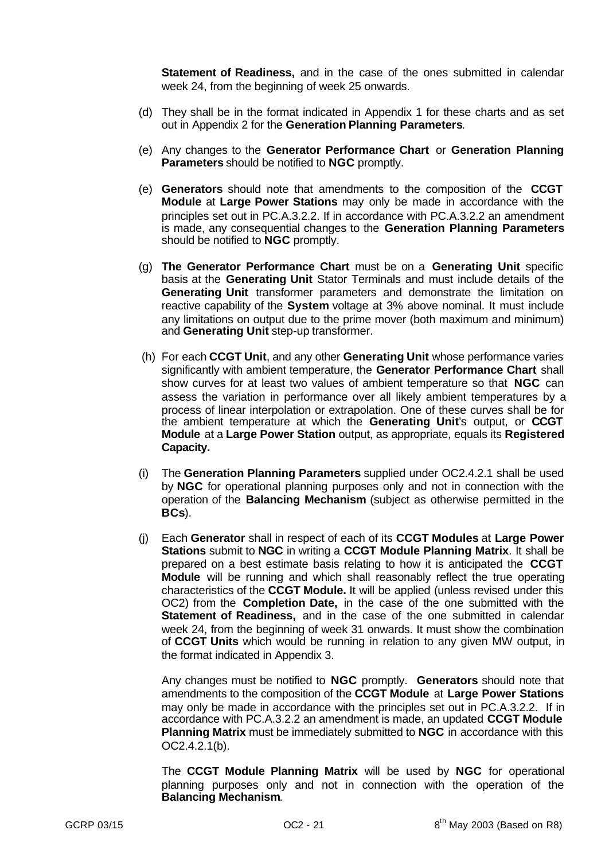**Statement of Readiness,** and in the case of the ones submitted in calendar week 24, from the beginning of week 25 onwards.

- (d) They shall be in the format indicated in Appendix 1 for these charts and as set out in Appendix 2 for the **Generation Planning Parameters**.
- (e) Any changes to the **Generator Performance Chart** or **Generation Planning Parameters** should be notified to **NGC** promptly.
- (e) **Generators** should note that amendments to the composition of the **CCGT Module** at **Large Power Stations** may only be made in accordance with the principles set out in PC.A.3.2.2. If in accordance with PC.A.3.2.2 an amendment is made, any consequential changes to the **Generation Planning Parameters** should be notified to **NGC** promptly.
- (g) **The Generator Performance Chart** must be on a **Generating Unit** specific basis at the **Generating Unit** Stator Terminals and must include details of the **Generating Unit** transformer parameters and demonstrate the limitation on reactive capability of the **System** voltage at 3% above nominal. It must include any limitations on output due to the prime mover (both maximum and minimum) and **Generating Unit** step-up transformer.
- (h) For each **CCGT Unit**, and any other **Generating Unit** whose performance varies significantly with ambient temperature, the **Generator Performance Chart** shall show curves for at least two values of ambient temperature so that **NGC** can assess the variation in performance over all likely ambient temperatures by a process of linear interpolation or extrapolation. One of these curves shall be for the ambient temperature at which the **Generating Unit**'s output, or **CCGT Module** at a **Large Power Station** output, as appropriate, equals its **Registered Capacity.**
- (i) The **Generation Planning Parameters** supplied under OC2.4.2.1 shall be used by **NGC** for operational planning purposes only and not in connection with the operation of the **Balancing Mechanism** (subject as otherwise permitted in the **BCs**).
- (j) Each **Generator** shall in respect of each of its **CCGT Modules** at **Large Power Stations** submit to **NGC** in writing a **CCGT Module Planning Matrix**. It shall be prepared on a best estimate basis relating to how it is anticipated the **CCGT Module** will be running and which shall reasonably reflect the true operating characteristics of the **CCGT Module.** It will be applied (unless revised under this OC2) from the **Completion Date,** in the case of the one submitted with the **Statement of Readiness,** and in the case of the one submitted in calendar week 24, from the beginning of week 31 onwards. It must show the combination of **CCGT Units** which would be running in relation to any given MW output, in the format indicated in Appendix 3.

Any changes must be notified to **NGC** promptly. **Generators** should note that amendments to the composition of the **CCGT Module** at **Large Power Stations** may only be made in accordance with the principles set out in PC.A.3.2.2. If in accordance with PC.A.3.2.2 an amendment is made, an updated **CCGT Module Planning Matrix** must be immediately submitted to **NGC** in accordance with this OC2.4.2.1(b).

The **CCGT Module Planning Matrix** will be used by **NGC** for operational planning purposes only and not in connection with the operation of the **Balancing Mechanism**.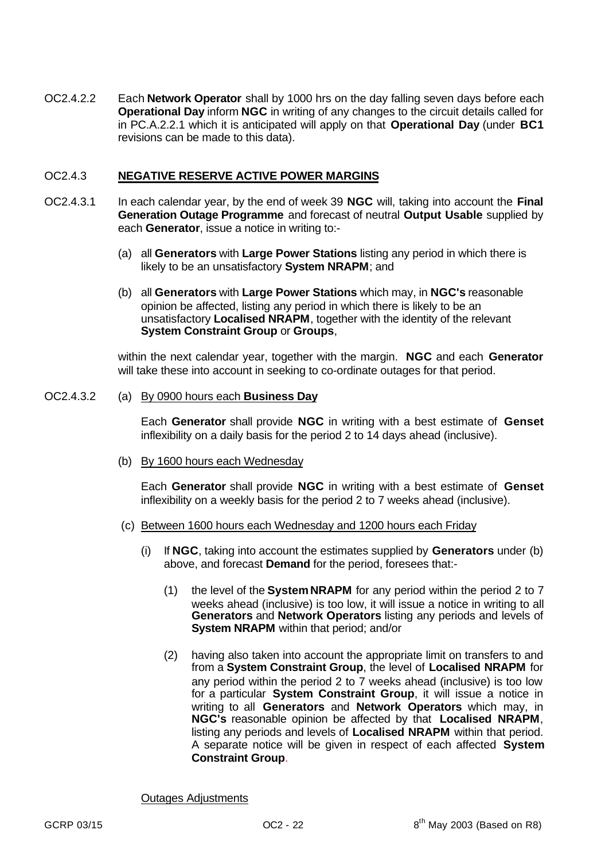OC2.4.2.2 Each **Network Operator** shall by 1000 hrs on the day falling seven days before each **Operational Day** inform **NGC** in writing of any changes to the circuit details called for in PC.A.2.2.1 which it is anticipated will apply on that **Operational Day** (under **BC1** revisions can be made to this data).

## OC2.4.3 **NEGATIVE RESERVE ACTIVE POWER MARGINS**

- OC2.4.3.1 In each calendar year, by the end of week 39 **NGC** will, taking into account the **Final Generation Outage Programme** and forecast of neutral **Output Usable** supplied by each **Generator**, issue a notice in writing to:-
	- (a) all **Generators** with **Large Power Stations** listing any period in which there is likely to be an unsatisfactory **System NRAPM**; and
	- (b) all **Generators** with **Large Power Stations** which may, in **NGC's** reasonable opinion be affected, listing any period in which there is likely to be an unsatisfactory **Localised NRAPM**, together with the identity of the relevant **System Constraint Group** or **Groups**,

within the next calendar year, together with the margin. **NGC** and each **Generator** will take these into account in seeking to co-ordinate outages for that period.

#### OC2.4.3.2 (a) By 0900 hours each **Business Day**

Each **Generator** shall provide **NGC** in writing with a best estimate of **Genset** inflexibility on a daily basis for the period 2 to 14 days ahead (inclusive).

(b) By 1600 hours each Wednesday

Each **Generator** shall provide **NGC** in writing with a best estimate of **Genset** inflexibility on a weekly basis for the period 2 to 7 weeks ahead (inclusive).

- (c) Between 1600 hours each Wednesday and 1200 hours each Friday
	- (i) If **NGC**, taking into account the estimates supplied by **Generators** under (b) above, and forecast **Demand** for the period, foresees that:-
		- (1) the level of the **SystemNRAPM** for any period within the period 2 to 7 weeks ahead (inclusive) is too low, it will issue a notice in writing to all **Generators** and **Network Operators** listing any periods and levels of **System NRAPM** within that period; and/or
		- (2) having also taken into account the appropriate limit on transfers to and from a **System Constraint Group**, the level of **Localised NRAPM** for any period within the period 2 to 7 weeks ahead (inclusive) is too low for a particular **System Constraint Group**, it will issue a notice in writing to all **Generators** and **Network Operators** which may, in **NGC's** reasonable opinion be affected by that **Localised NRAPM**, listing any periods and levels of **Localised NRAPM** within that period. A separate notice will be given in respect of each affected **System Constraint Group**.

Outages Adjustments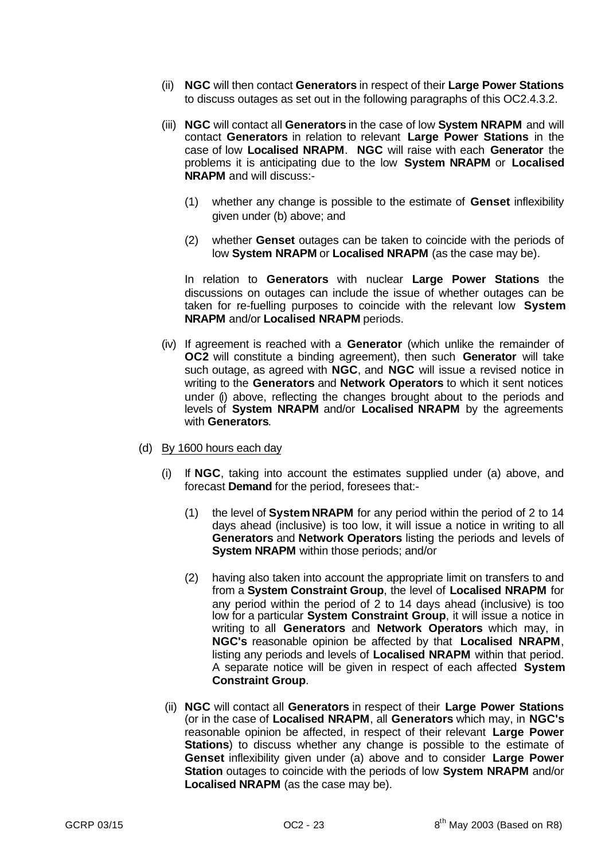- (ii) **NGC** will then contact **Generators** in respect of their **Large Power Stations** to discuss outages as set out in the following paragraphs of this OC2.4.3.2.
- (iii) **NGC** will contact all **Generators** in the case of low **System NRAPM** and will contact **Generators** in relation to relevant **Large Power Stations** in the case of low **Localised NRAPM**. **NGC** will raise with each **Generator** the problems it is anticipating due to the low **System NRAPM** or **Localised NRAPM** and will discuss:-
	- (1) whether any change is possible to the estimate of **Genset** inflexibility given under (b) above; and
	- (2) whether **Genset** outages can be taken to coincide with the periods of low **System NRAPM** or **Localised NRAPM** (as the case may be).

In relation to **Generators** with nuclear **Large Power Stations** the discussions on outages can include the issue of whether outages can be taken for re-fuelling purposes to coincide with the relevant low **System NRAPM** and/or **Localised NRAPM** periods.

- (iv) If agreement is reached with a **Generator** (which unlike the remainder of **OC2** will constitute a binding agreement), then such **Generator** will take such outage, as agreed with **NGC**, and **NGC** will issue a revised notice in writing to the **Generators** and **Network Operators** to which it sent notices under (i) above, reflecting the changes brought about to the periods and levels of **System NRAPM** and/or **Localised NRAPM** by the agreements with **Generators**.
- (d) By 1600 hours each day
	- (i) If **NGC**, taking into account the estimates supplied under (a) above, and forecast **Demand** for the period, foresees that:-
		- (1) the level of **SystemNRAPM** for any period within the period of 2 to 14 days ahead (inclusive) is too low, it will issue a notice in writing to all **Generators** and **Network Operators** listing the periods and levels of **System NRAPM** within those periods; and/or
		- (2) having also taken into account the appropriate limit on transfers to and from a **System Constraint Group**, the level of **Localised NRAPM** for any period within the period of 2 to 14 days ahead (inclusive) is too low for a particular **System Constraint Group**, it will issue a notice in writing to all **Generators** and **Network Operators** which may, in **NGC's** reasonable opinion be affected by that **Localised NRAPM**, listing any periods and levels of **Localised NRAPM** within that period. A separate notice will be given in respect of each affected **System Constraint Group**.
	- (ii) **NGC** will contact all **Generators** in respect of their **Large Power Stations** (or in the case of **Localised NRAPM**, all **Generators** which may, in **NGC's** reasonable opinion be affected, in respect of their relevant **Large Power Stations**) to discuss whether any change is possible to the estimate of **Genset** inflexibility given under (a) above and to consider **Large Power Station** outages to coincide with the periods of low **System NRAPM** and/or **Localised NRAPM** (as the case may be).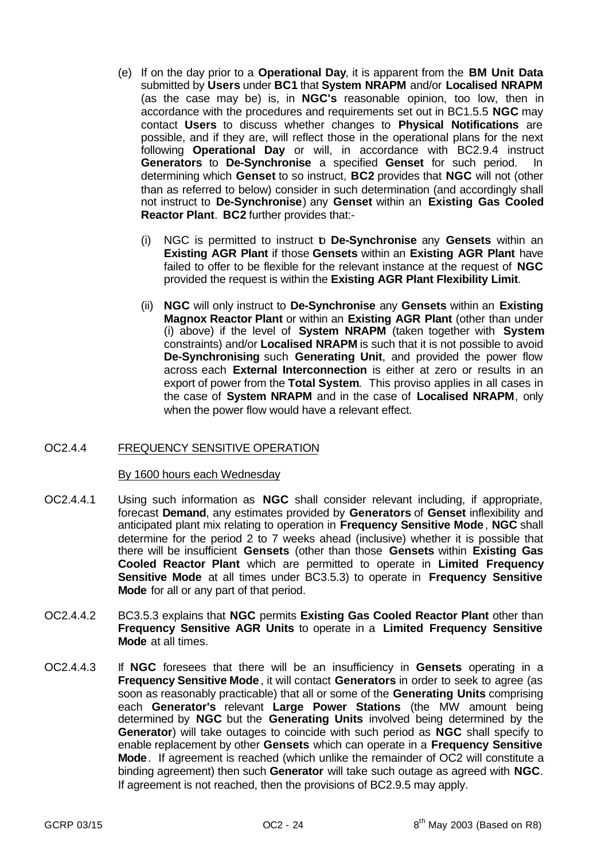- (e) If on the day prior to a **Operational Day**, it is apparent from the **BM Unit Data** submitted by **Users** under **BC1** that **System NRAPM** and/or **Localised NRAPM** (as the case may be) is, in **NGC's** reasonable opinion, too low, then in accordance with the procedures and requirements set out in BC1.5.5 **NGC** may contact **Users** to discuss whether changes to **Physical Notifications** are possible, and if they are, will reflect those in the operational plans for the next following **Operational Day** or will, in accordance with BC2.9.4 instruct **Generators** to **De-Synchronise** a specified **Genset** for such period. In determining which **Genset** to so instruct, **BC2** provides that **NGC** will not (other than as referred to below) consider in such determination (and accordingly shall not instruct to **De-Synchronise**) any **Genset** within an **Existing Gas Cooled Reactor Plant**. **BC2** further provides that:-
	- (i) NGC is permitted to instruct to **De-Synchronise** any **Gensets** within an **Existing AGR Plant** if those **Gensets** within an **Existing AGR Plant** have failed to offer to be flexible for the relevant instance at the request of **NGC** provided the request is within the **Existing AGR Plant Flexibility Limit**.
	- (ii) **NGC** will only instruct to **De-Synchronise** any **Gensets** within an **Existing Magnox Reactor Plant** or within an **Existing AGR Plant** (other than under (i) above) if the level of **System NRAPM** (taken together with **System** constraints) and/or **Localised NRAPM** is such that it is not possible to avoid **De-Synchronising** such **Generating Unit**, and provided the power flow across each **External Interconnection** is either at zero or results in an export of power from the **Total System**. This proviso applies in all cases in the case of **System NRAPM** and in the case of **Localised NRAPM**, only when the power flow would have a relevant effect.

# OC2.4.4 FREQUENCY SENSITIVE OPERATION

#### By 1600 hours each Wednesday

- OC2.4.4.1 Using such information as **NGC** shall consider relevant including, if appropriate, forecast **Demand**, any estimates provided by **Generators** of **Genset** inflexibility and anticipated plant mix relating to operation in **Frequency Sensitive Mode**, **NGC** shall determine for the period 2 to 7 weeks ahead (inclusive) whether it is possible that there will be insufficient **Gensets** (other than those **Gensets** within **Existing Gas Cooled Reactor Plant** which are permitted to operate in **Limited Frequency Sensitive Mode** at all times under BC3.5.3) to operate in **Frequency Sensitive Mode** for all or any part of that period.
- OC2.4.4.2 BC3.5.3 explains that **NGC** permits **Existing Gas Cooled Reactor Plant** other than **Frequency Sensitive AGR Units** to operate in a **Limited Frequency Sensitive Mode** at all times.
- OC2.4.4.3 If **NGC** foresees that there will be an insufficiency in **Gensets** operating in a **Frequency Sensitive Mode**, it will contact **Generators** in order to seek to agree (as soon as reasonably practicable) that all or some of the **Generating Units** comprising each **Generator's** relevant **Large Power Stations** (the MW amount being determined by **NGC** but the **Generating Units** involved being determined by the **Generator**) will take outages to coincide with such period as **NGC** shall specify to enable replacement by other **Gensets** which can operate in a **Frequency Sensitive Mode**. If agreement is reached (which unlike the remainder of OC2 will constitute a binding agreement) then such **Generator** will take such outage as agreed with **NGC**. If agreement is not reached, then the provisions of BC2.9.5 may apply.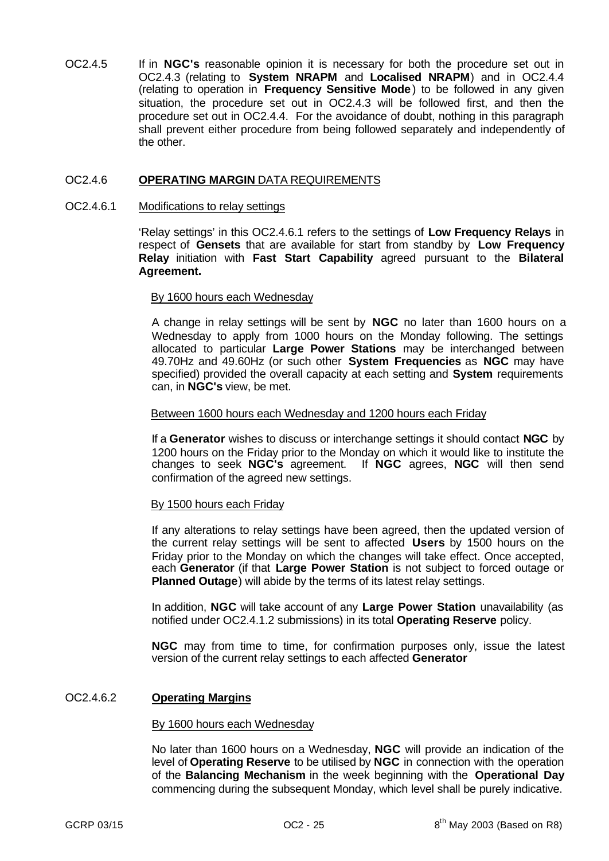OC2.4.5 If in **NGC's** reasonable opinion it is necessary for both the procedure set out in OC2.4.3 (relating to **System NRAPM** and **Localised NRAPM**) and in OC2.4.4 (relating to operation in **Frequency Sensitive Mode**) to be followed in any given situation, the procedure set out in OC2.4.3 will be followed first, and then the procedure set out in OC2.4.4. For the avoidance of doubt, nothing in this paragraph shall prevent either procedure from being followed separately and independently of the other.

## OC2.4.6 **OPERATING MARGIN** DATA REQUIREMENTS

#### OC2.4.6.1 Modifications to relay settings

'Relay settings' in this OC2.4.6.1 refers to the settings of **Low Frequency Relays** in respect of **Gensets** that are available for start from standby by **Low Frequency Relay** initiation with **Fast Start Capability** agreed pursuant to the **Bilateral Agreement.**

### By 1600 hours each Wednesday

A change in relay settings will be sent by **NGC** no later than 1600 hours on a Wednesday to apply from 1000 hours on the Monday following. The settings allocated to particular **Large Power Stations** may be interchanged between 49.70Hz and 49.60Hz (or such other **System Frequencies** as **NGC** may have specified) provided the overall capacity at each setting and **System** requirements can, in **NGC's** view, be met.

#### Between 1600 hours each Wednesday and 1200 hours each Friday

If a **Generator** wishes to discuss or interchange settings it should contact **NGC** by 1200 hours on the Friday prior to the Monday on which it would like to institute the changes to seek **NGC's** agreement. If **NGC** agrees, **NGC** will then send confirmation of the agreed new settings.

#### By 1500 hours each Friday

If any alterations to relay settings have been agreed, then the updated version of the current relay settings will be sent to affected **Users** by 1500 hours on the Friday prior to the Monday on which the changes will take effect. Once accepted, each **Generator** (if that **Large Power Station** is not subject to forced outage or **Planned Outage**) will abide by the terms of its latest relay settings.

In addition, **NGC** will take account of any **Large Power Station** unavailability (as notified under OC2.4.1.2 submissions) in its total **Operating Reserve** policy.

**NGC** may from time to time, for confirmation purposes only, issue the latest version of the current relay settings to each affected **Generator**

#### OC2.4.6.2 **Operating Margins**

#### By 1600 hours each Wednesday

No later than 1600 hours on a Wednesday, **NGC** will provide an indication of the level of **Operating Reserve** to be utilised by **NGC** in connection with the operation of the **Balancing Mechanism** in the week beginning with the **Operational Day** commencing during the subsequent Monday, which level shall be purely indicative.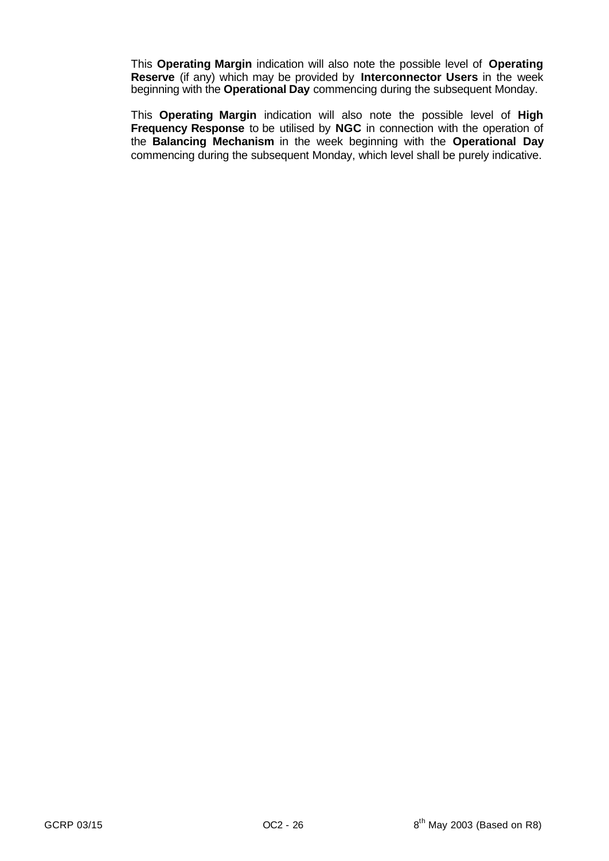This **Operating Margin** indication will also note the possible level of **Operating Reserve** (if any) which may be provided by **Interconnector Users** in the week beginning with the **Operational Day** commencing during the subsequent Monday.

This **Operating Margin** indication will also note the possible level of **High Frequency Response** to be utilised by **NGC** in connection with the operation of the **Balancing Mechanism** in the week beginning with the **Operational Day** commencing during the subsequent Monday, which level shall be purely indicative.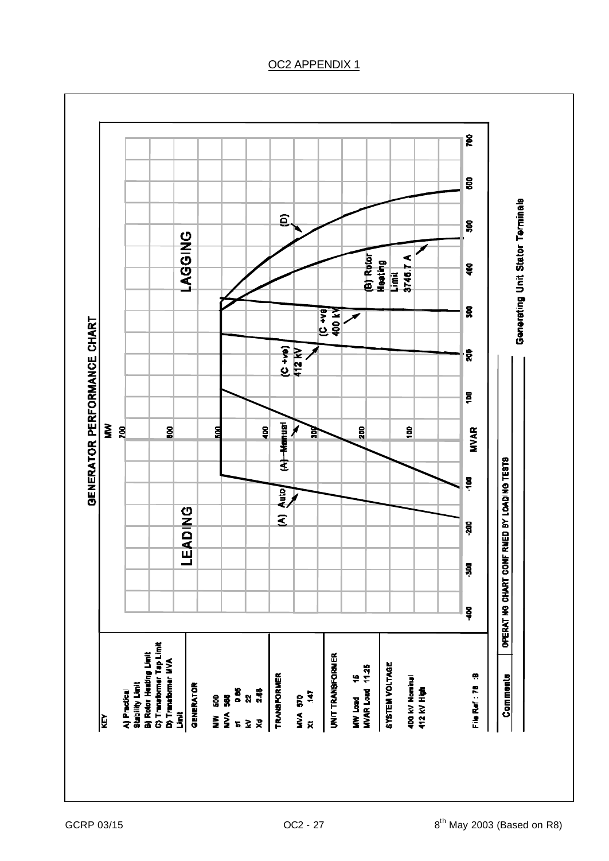# ူ 680 Generating Unit Stator Terminals  $\widehat{\mathbf{a}}$  $\frac{8}{2}$ **AGGING** (B) Rotor<br>Heating<br>Limit<br>3745 7 A <u>ទ្ធ</u> g **SOP KA** ↗ GENERATOR PERFORMANCE CHART  $(C + v_0)$ <br>412 kV ្ត្រី  $\overline{\mathbf{g}}$ (A) Menual  $\sum_{r=1}^{\infty}$  $\tilde{g}$ 휭 200  $\frac{8}{2}$ **MVAR** ទ្ធ 宫 OPERAT NG CHART CONF RMED BY LOADING TESTS  $\ddot{a}$ **Auto** LEADING  $\tilde{\mathbf{z}}$ ន្តី  $\frac{8}{3}$  $\tilde{S}$ A) Practical<br>Stability Limit<br>B) Rotor Heating Limit<br>C) Transformer Tap Limit<br>D) Transformer MVA **UNIT TRANSFORMER** MW Load 16<br>MVAR Load 11.25 SYSTEM VOLTAGE 400 kV Nominal<br>412 kV High File Ref : 78 : 8 TRANSFORMER Comments Limit<br>GENERATOR NW 500<br>NVA 588<br>NVA 586<br>NV 2.88<br>Xd 2.88 MVA 570<br>XI 147 ि

# OC2 APPENDIX 1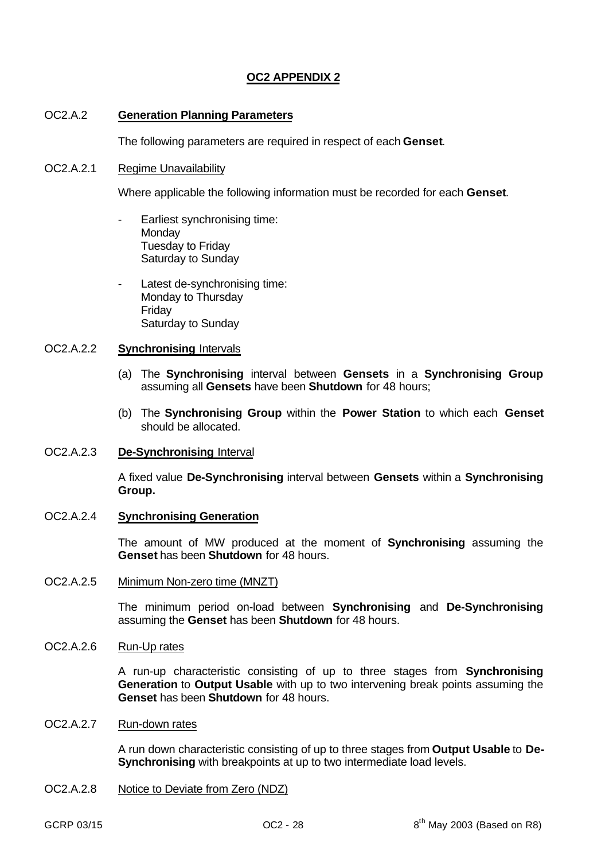# **OC2 APPENDIX 2**

## OC2.A.2 **Generation Planning Parameters**

The following parameters are required in respect of each **Genset**.

## OC2.A.2.1 Regime Unavailability

Where applicable the following information must be recorded for each **Genset**.

- Earliest synchronising time: **Monday** Tuesday to Friday Saturday to Sunday
- Latest de-synchronising time: Monday to Thursday Friday Saturday to Sunday

## OC2.A.2.2 **Synchronising** Intervals

- (a) The **Synchronising** interval between **Gensets** in a **Synchronising Group** assuming all **Gensets** have been **Shutdown** for 48 hours;
- (b) The **Synchronising Group** within the **Power Station** to which each **Genset** should be allocated.

#### OC2.A.2.3 **De-Synchronising** Interval

A fixed value **De-Synchronising** interval between **Gensets** within a **Synchronising Group.**

### OC2.A.2.4 **Synchronising Generation**

The amount of MW produced at the moment of **Synchronising** assuming the **Genset** has been **Shutdown** for 48 hours.

## OC2.A.2.5 Minimum Non-zero time (MNZT)

The minimum period on-load between **Synchronising** and **De-Synchronising** assuming the **Genset** has been **Shutdown** for 48 hours.

# OC2.A.2.6 Run-Up rates

A run-up characteristic consisting of up to three stages from **Synchronising Generation** to **Output Usable** with up to two intervening break points assuming the **Genset** has been **Shutdown** for 48 hours.

# OC2.A.2.7 Run-down rates

A run down characteristic consisting of up to three stages from **Output Usable** to **De-Synchronising** with breakpoints at up to two intermediate load levels.

OC2.A.2.8 Notice to Deviate from Zero (NDZ)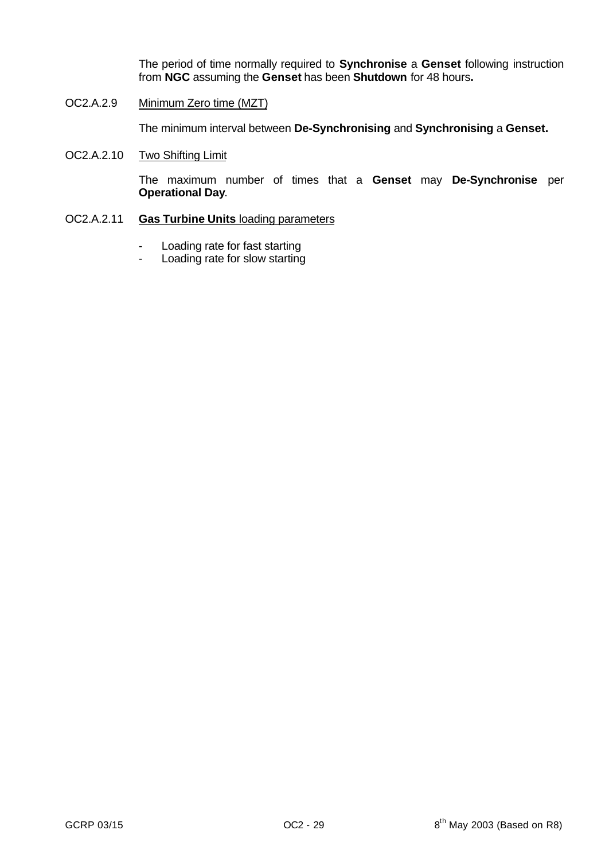The period of time normally required to **Synchronise** a **Genset** following instruction from **NGC** assuming the **Genset** has been **Shutdown** for 48 hours**.**

OC2.A.2.9 Minimum Zero time (MZT)

The minimum interval between **De-Synchronising** and **Synchronising** a **Genset.**

OC2.A.2.10 Two Shifting Limit

The maximum number of times that a **Genset** may **De-Synchronise** per **Operational Day**.

# OC2.A.2.11 **Gas Turbine Units** loading parameters

- Loading rate for fast starting
- Loading rate for slow starting